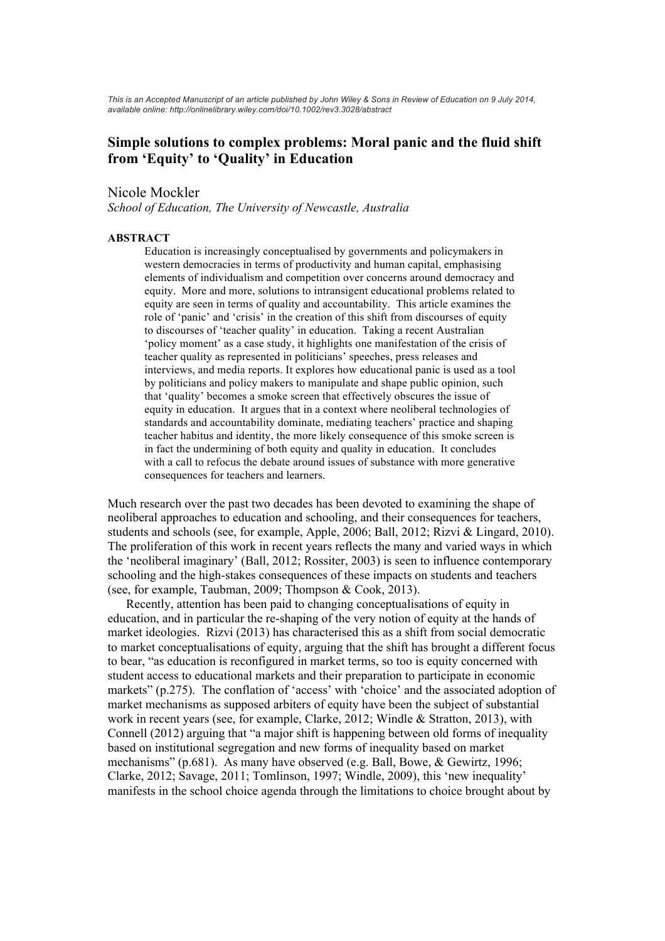# **Simple solutions to complex problems: Moral panic and the fluid shift from 'Equity' to 'Quality' in Education**

Nicole Mockler

*School of Education, The University of Newcastle, Australia*

# **ABSTRACT**

Education is increasingly conceptualised by governments and policymakers in western democracies in terms of productivity and human capital, emphasising elements of individualism and competition over concerns around democracy and equity. More and more, solutions to intransigent educational problems related to equity are seen in terms of quality and accountability. This article examines the role of 'panic' and 'crisis' in the creation of this shift from discourses of equity to discourses of 'teacher quality' in education. Taking a recent Australian 'policy moment' as a case study, it highlights one manifestation of the crisis of teacher quality as represented in politicians' speeches, press releases and interviews, and media reports. It explores how educational panic is used as a tool by politicians and policy makers to manipulate and shape public opinion, such that 'quality' becomes a smoke screen that effectively obscures the issue of equity in education. It argues that in a context where neoliberal technologies of standards and accountability dominate, mediating teachers' practice and shaping teacher habitus and identity, the more likely consequence of this smoke screen is in fact the undermining of both equity and quality in education. It concludes with a call to refocus the debate around issues of substance with more generative consequences for teachers and learners.

Much research over the past two decades has been devoted to examining the shape of neoliberal approaches to education and schooling, and their consequences for teachers, students and schools (see, for example, Apple, 2006; Ball, 2012; Rizvi & Lingard, 2010). The proliferation of this work in recent years reflects the many and varied ways in which the 'neoliberal imaginary' (Ball, 2012; Rossiter, 2003) is seen to influence contemporary schooling and the high-stakes consequences of these impacts on students and teachers (see, for example, Taubman, 2009; Thompson & Cook, 2013).

Recently, attention has been paid to changing conceptualisations of equity in education, and in particular the re-shaping of the very notion of equity at the hands of market ideologies. Rizvi (2013) has characterised this as a shift from social democratic to market conceptualisations of equity, arguing that the shift has brought a different focus to bear, "as education is reconfigured in market terms, so too is equity concerned with student access to educational markets and their preparation to participate in economic markets" (p.275). The conflation of 'access' with 'choice' and the associated adoption of market mechanisms as supposed arbiters of equity have been the subject of substantial work in recent years (see, for example, Clarke, 2012; Windle & Stratton, 2013), with Connell (2012) arguing that "a major shift is happening between old forms of inequality based on institutional segregation and new forms of inequality based on market mechanisms" (p.681). As many have observed (e.g. Ball, Bowe, & Gewirtz, 1996; Clarke, 2012; Savage, 2011; Tomlinson, 1997; Windle, 2009), this 'new inequality' manifests in the school choice agenda through the limitations to choice brought about by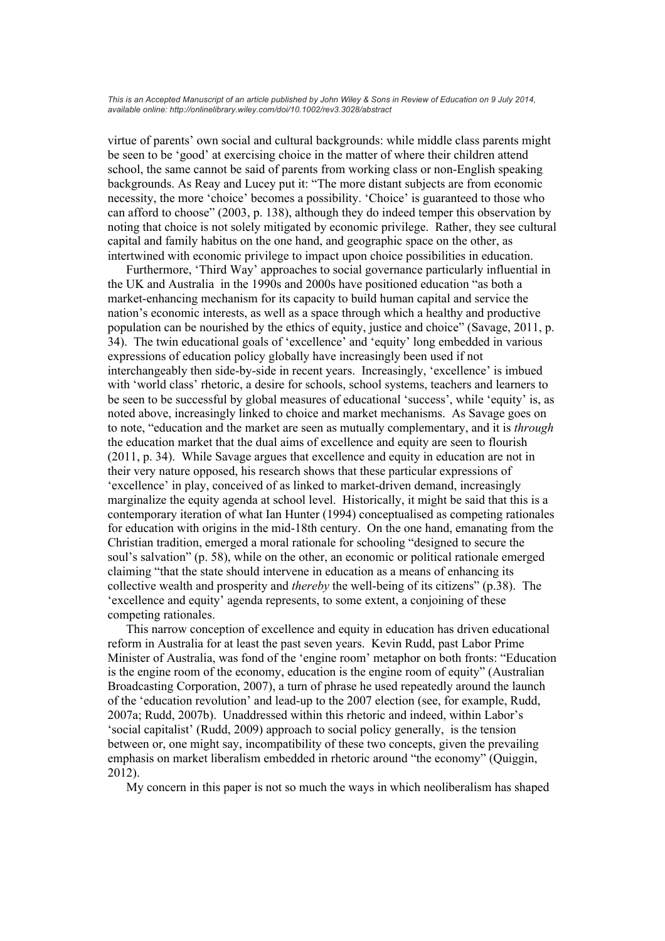virtue of parents' own social and cultural backgrounds: while middle class parents might be seen to be 'good' at exercising choice in the matter of where their children attend school, the same cannot be said of parents from working class or non-English speaking backgrounds. As Reay and Lucey put it: "The more distant subjects are from economic necessity, the more 'choice' becomes a possibility. 'Choice' is guaranteed to those who can afford to choose" (2003, p. 138), although they do indeed temper this observation by noting that choice is not solely mitigated by economic privilege. Rather, they see cultural capital and family habitus on the one hand, and geographic space on the other, as intertwined with economic privilege to impact upon choice possibilities in education.

Furthermore, 'Third Way' approaches to social governance particularly influential in the UK and Australia in the 1990s and 2000s have positioned education "as both a market-enhancing mechanism for its capacity to build human capital and service the nation's economic interests, as well as a space through which a healthy and productive population can be nourished by the ethics of equity, justice and choice" (Savage, 2011, p. 34). The twin educational goals of 'excellence' and 'equity' long embedded in various expressions of education policy globally have increasingly been used if not interchangeably then side-by-side in recent years. Increasingly, 'excellence' is imbued with 'world class' rhetoric, a desire for schools, school systems, teachers and learners to be seen to be successful by global measures of educational 'success', while 'equity' is, as noted above, increasingly linked to choice and market mechanisms. As Savage goes on to note, "education and the market are seen as mutually complementary, and it is *through* the education market that the dual aims of excellence and equity are seen to flourish (2011, p. 34). While Savage argues that excellence and equity in education are not in their very nature opposed, his research shows that these particular expressions of 'excellence' in play, conceived of as linked to market-driven demand, increasingly marginalize the equity agenda at school level. Historically, it might be said that this is a contemporary iteration of what Ian Hunter (1994) conceptualised as competing rationales for education with origins in the mid-18th century. On the one hand, emanating from the Christian tradition, emerged a moral rationale for schooling "designed to secure the soul's salvation" (p. 58), while on the other, an economic or political rationale emerged claiming "that the state should intervene in education as a means of enhancing its collective wealth and prosperity and *thereby* the well-being of its citizens" (p.38). The 'excellence and equity' agenda represents, to some extent, a conjoining of these competing rationales.

This narrow conception of excellence and equity in education has driven educational reform in Australia for at least the past seven years. Kevin Rudd, past Labor Prime Minister of Australia, was fond of the 'engine room' metaphor on both fronts: "Education is the engine room of the economy, education is the engine room of equity" (Australian Broadcasting Corporation, 2007), a turn of phrase he used repeatedly around the launch of the 'education revolution' and lead-up to the 2007 election (see, for example, Rudd, 2007a; Rudd, 2007b). Unaddressed within this rhetoric and indeed, within Labor's 'social capitalist' (Rudd, 2009) approach to social policy generally, is the tension between or, one might say, incompatibility of these two concepts, given the prevailing emphasis on market liberalism embedded in rhetoric around "the economy" (Quiggin, 2012).

My concern in this paper is not so much the ways in which neoliberalism has shaped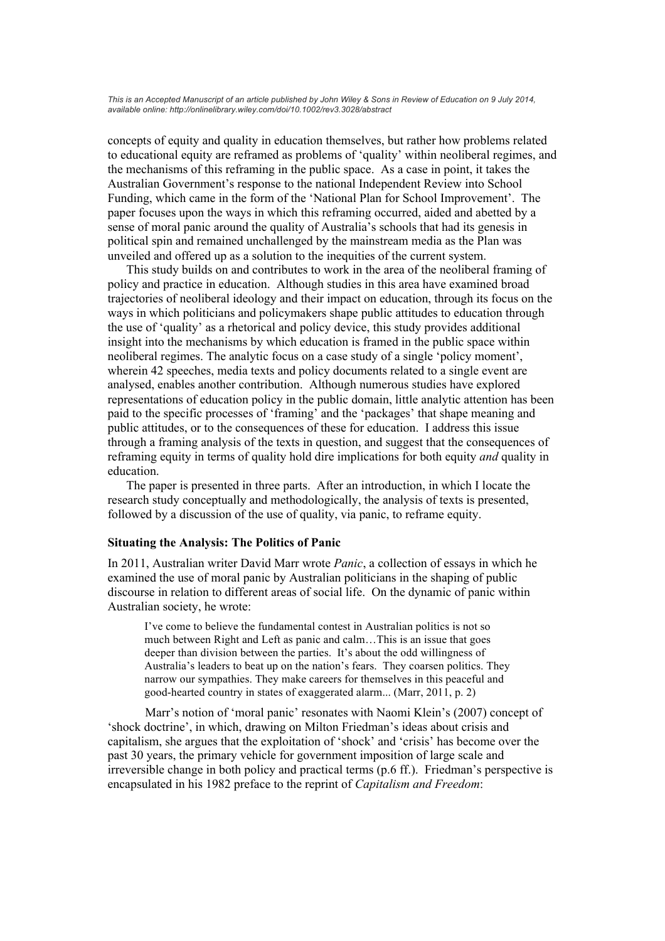concepts of equity and quality in education themselves, but rather how problems related to educational equity are reframed as problems of 'quality' within neoliberal regimes, and the mechanisms of this reframing in the public space. As a case in point, it takes the Australian Government's response to the national Independent Review into School Funding, which came in the form of the 'National Plan for School Improvement'. The paper focuses upon the ways in which this reframing occurred, aided and abetted by a sense of moral panic around the quality of Australia's schools that had its genesis in political spin and remained unchallenged by the mainstream media as the Plan was unveiled and offered up as a solution to the inequities of the current system.

This study builds on and contributes to work in the area of the neoliberal framing of policy and practice in education. Although studies in this area have examined broad trajectories of neoliberal ideology and their impact on education, through its focus on the ways in which politicians and policymakers shape public attitudes to education through the use of 'quality' as a rhetorical and policy device, this study provides additional insight into the mechanisms by which education is framed in the public space within neoliberal regimes. The analytic focus on a case study of a single 'policy moment', wherein 42 speeches, media texts and policy documents related to a single event are analysed, enables another contribution. Although numerous studies have explored representations of education policy in the public domain, little analytic attention has been paid to the specific processes of 'framing' and the 'packages' that shape meaning and public attitudes, or to the consequences of these for education. I address this issue through a framing analysis of the texts in question, and suggest that the consequences of reframing equity in terms of quality hold dire implications for both equity *and* quality in education.

The paper is presented in three parts. After an introduction, in which I locate the research study conceptually and methodologically, the analysis of texts is presented, followed by a discussion of the use of quality, via panic, to reframe equity.

# **Situating the Analysis: The Politics of Panic**

In 2011, Australian writer David Marr wrote *Panic*, a collection of essays in which he examined the use of moral panic by Australian politicians in the shaping of public discourse in relation to different areas of social life. On the dynamic of panic within Australian society, he wrote:

I've come to believe the fundamental contest in Australian politics is not so much between Right and Left as panic and calm…This is an issue that goes deeper than division between the parties. It's about the odd willingness of Australia's leaders to beat up on the nation's fears. They coarsen politics. They narrow our sympathies. They make careers for themselves in this peaceful and good-hearted country in states of exaggerated alarm... (Marr, 2011, p. 2)

Marr's notion of 'moral panic' resonates with Naomi Klein's (2007) concept of 'shock doctrine', in which, drawing on Milton Friedman's ideas about crisis and capitalism, she argues that the exploitation of 'shock' and 'crisis' has become over the past 30 years, the primary vehicle for government imposition of large scale and irreversible change in both policy and practical terms (p.6 ff.). Friedman's perspective is encapsulated in his 1982 preface to the reprint of *Capitalism and Freedom*: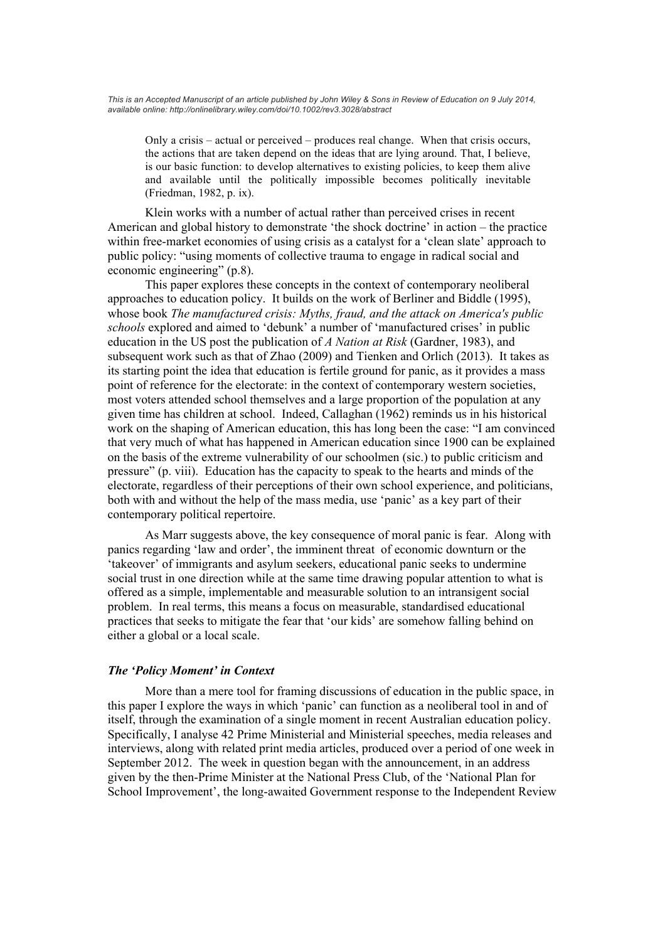Only a crisis – actual or perceived – produces real change. When that crisis occurs, the actions that are taken depend on the ideas that are lying around. That, I believe, is our basic function: to develop alternatives to existing policies, to keep them alive and available until the politically impossible becomes politically inevitable (Friedman, 1982, p. ix).

Klein works with a number of actual rather than perceived crises in recent American and global history to demonstrate 'the shock doctrine' in action – the practice within free-market economies of using crisis as a catalyst for a 'clean slate' approach to public policy: "using moments of collective trauma to engage in radical social and economic engineering" (p.8).

This paper explores these concepts in the context of contemporary neoliberal approaches to education policy. It builds on the work of Berliner and Biddle (1995), whose book *The manufactured crisis: Myths, fraud, and the attack on America's public schools* explored and aimed to 'debunk' a number of 'manufactured crises' in public education in the US post the publication of *A Nation at Risk* (Gardner, 1983), and subsequent work such as that of Zhao (2009) and Tienken and Orlich (2013). It takes as its starting point the idea that education is fertile ground for panic, as it provides a mass point of reference for the electorate: in the context of contemporary western societies, most voters attended school themselves and a large proportion of the population at any given time has children at school. Indeed, Callaghan (1962) reminds us in his historical work on the shaping of American education, this has long been the case: "I am convinced that very much of what has happened in American education since 1900 can be explained on the basis of the extreme vulnerability of our schoolmen (sic.) to public criticism and pressure" (p. viii). Education has the capacity to speak to the hearts and minds of the electorate, regardless of their perceptions of their own school experience, and politicians, both with and without the help of the mass media, use 'panic' as a key part of their contemporary political repertoire.

As Marr suggests above, the key consequence of moral panic is fear. Along with panics regarding 'law and order', the imminent threat of economic downturn or the 'takeover' of immigrants and asylum seekers, educational panic seeks to undermine social trust in one direction while at the same time drawing popular attention to what is offered as a simple, implementable and measurable solution to an intransigent social problem. In real terms, this means a focus on measurable, standardised educational practices that seeks to mitigate the fear that 'our kids' are somehow falling behind on either a global or a local scale.

### *The 'Policy Moment' in Context*

More than a mere tool for framing discussions of education in the public space, in this paper I explore the ways in which 'panic' can function as a neoliberal tool in and of itself, through the examination of a single moment in recent Australian education policy. Specifically, I analyse 42 Prime Ministerial and Ministerial speeches, media releases and interviews, along with related print media articles, produced over a period of one week in September 2012. The week in question began with the announcement, in an address given by the then-Prime Minister at the National Press Club, of the 'National Plan for School Improvement', the long-awaited Government response to the Independent Review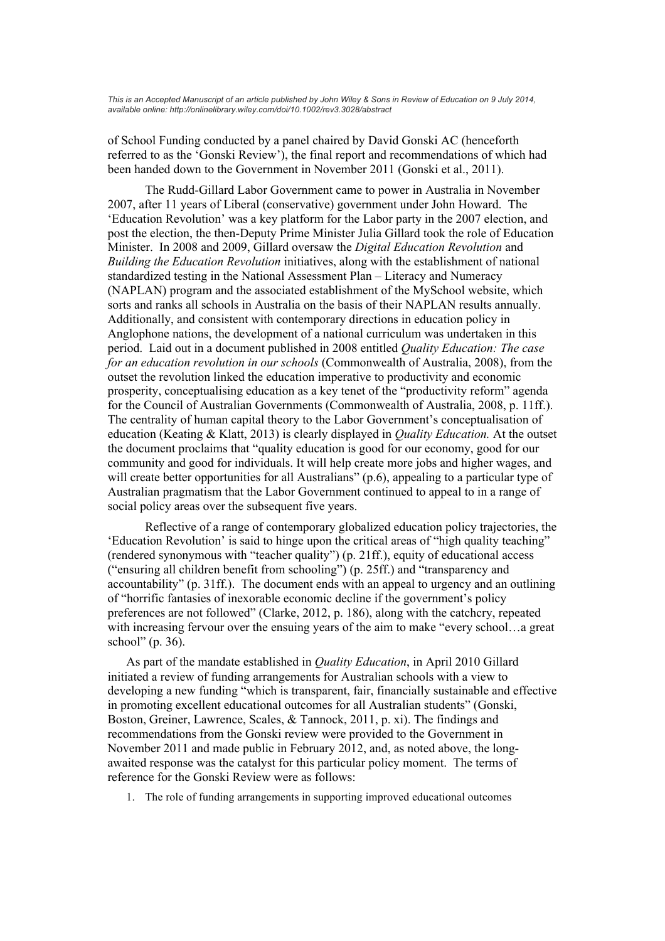of School Funding conducted by a panel chaired by David Gonski AC (henceforth referred to as the 'Gonski Review'), the final report and recommendations of which had been handed down to the Government in November 2011 (Gonski et al., 2011).

The Rudd-Gillard Labor Government came to power in Australia in November 2007, after 11 years of Liberal (conservative) government under John Howard. The 'Education Revolution' was a key platform for the Labor party in the 2007 election, and post the election, the then-Deputy Prime Minister Julia Gillard took the role of Education Minister. In 2008 and 2009, Gillard oversaw the *Digital Education Revolution* and *Building the Education Revolution* initiatives, along with the establishment of national standardized testing in the National Assessment Plan – Literacy and Numeracy (NAPLAN) program and the associated establishment of the MySchool website, which sorts and ranks all schools in Australia on the basis of their NAPLAN results annually. Additionally, and consistent with contemporary directions in education policy in Anglophone nations, the development of a national curriculum was undertaken in this period. Laid out in a document published in 2008 entitled *Quality Education: The case for an education revolution in our schools* (Commonwealth of Australia, 2008), from the outset the revolution linked the education imperative to productivity and economic prosperity, conceptualising education as a key tenet of the "productivity reform" agenda for the Council of Australian Governments (Commonwealth of Australia, 2008, p. 11ff.). The centrality of human capital theory to the Labor Government's conceptualisation of education (Keating & Klatt, 2013) is clearly displayed in *Quality Education.* At the outset the document proclaims that "quality education is good for our economy, good for our community and good for individuals. It will help create more jobs and higher wages, and will create better opportunities for all Australians" (p.6), appealing to a particular type of Australian pragmatism that the Labor Government continued to appeal to in a range of social policy areas over the subsequent five years.

Reflective of a range of contemporary globalized education policy trajectories, the 'Education Revolution' is said to hinge upon the critical areas of "high quality teaching" (rendered synonymous with "teacher quality") (p. 21ff.), equity of educational access ("ensuring all children benefit from schooling") (p. 25ff.) and "transparency and accountability" (p. 31ff.). The document ends with an appeal to urgency and an outlining of "horrific fantasies of inexorable economic decline if the government's policy preferences are not followed" (Clarke, 2012, p. 186), along with the catchcry, repeated with increasing fervour over the ensuing years of the aim to make "every school...a great school" (p. 36).

As part of the mandate established in *Quality Education*, in April 2010 Gillard initiated a review of funding arrangements for Australian schools with a view to developing a new funding "which is transparent, fair, financially sustainable and effective in promoting excellent educational outcomes for all Australian students" (Gonski, Boston, Greiner, Lawrence, Scales, & Tannock, 2011, p. xi). The findings and recommendations from the Gonski review were provided to the Government in November 2011 and made public in February 2012, and, as noted above, the longawaited response was the catalyst for this particular policy moment. The terms of reference for the Gonski Review were as follows:

1. The role of funding arrangements in supporting improved educational outcomes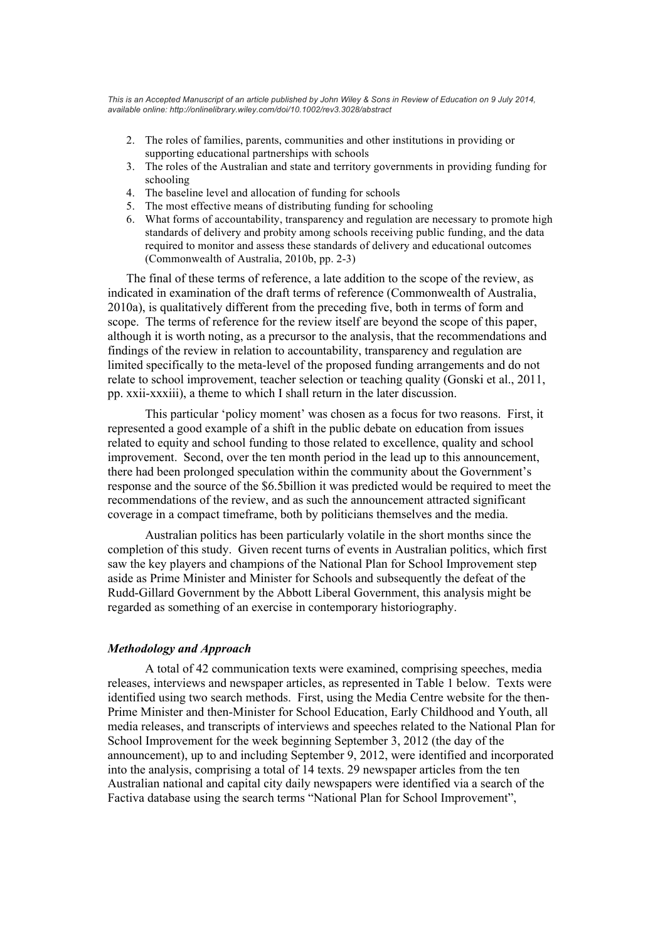- 2. The roles of families, parents, communities and other institutions in providing or supporting educational partnerships with schools
- 3. The roles of the Australian and state and territory governments in providing funding for schooling
- 4. The baseline level and allocation of funding for schools
- 5. The most effective means of distributing funding for schooling
- 6. What forms of accountability, transparency and regulation are necessary to promote high standards of delivery and probity among schools receiving public funding, and the data required to monitor and assess these standards of delivery and educational outcomes (Commonwealth of Australia, 2010b, pp. 2-3)

The final of these terms of reference, a late addition to the scope of the review, as indicated in examination of the draft terms of reference (Commonwealth of Australia, 2010a), is qualitatively different from the preceding five, both in terms of form and scope. The terms of reference for the review itself are beyond the scope of this paper, although it is worth noting, as a precursor to the analysis, that the recommendations and findings of the review in relation to accountability, transparency and regulation are limited specifically to the meta-level of the proposed funding arrangements and do not relate to school improvement, teacher selection or teaching quality (Gonski et al., 2011, pp. xxii-xxxiii), a theme to which I shall return in the later discussion.

This particular 'policy moment' was chosen as a focus for two reasons. First, it represented a good example of a shift in the public debate on education from issues related to equity and school funding to those related to excellence, quality and school improvement. Second, over the ten month period in the lead up to this announcement, there had been prolonged speculation within the community about the Government's response and the source of the \$6.5billion it was predicted would be required to meet the recommendations of the review, and as such the announcement attracted significant coverage in a compact timeframe, both by politicians themselves and the media.

Australian politics has been particularly volatile in the short months since the completion of this study. Given recent turns of events in Australian politics, which first saw the key players and champions of the National Plan for School Improvement step aside as Prime Minister and Minister for Schools and subsequently the defeat of the Rudd-Gillard Government by the Abbott Liberal Government, this analysis might be regarded as something of an exercise in contemporary historiography.

## *Methodology and Approach*

A total of 42 communication texts were examined, comprising speeches, media releases, interviews and newspaper articles, as represented in Table 1 below. Texts were identified using two search methods. First, using the Media Centre website for the then-Prime Minister and then-Minister for School Education, Early Childhood and Youth, all media releases, and transcripts of interviews and speeches related to the National Plan for School Improvement for the week beginning September 3, 2012 (the day of the announcement), up to and including September 9, 2012, were identified and incorporated into the analysis, comprising a total of 14 texts. 29 newspaper articles from the ten Australian national and capital city daily newspapers were identified via a search of the Factiva database using the search terms "National Plan for School Improvement",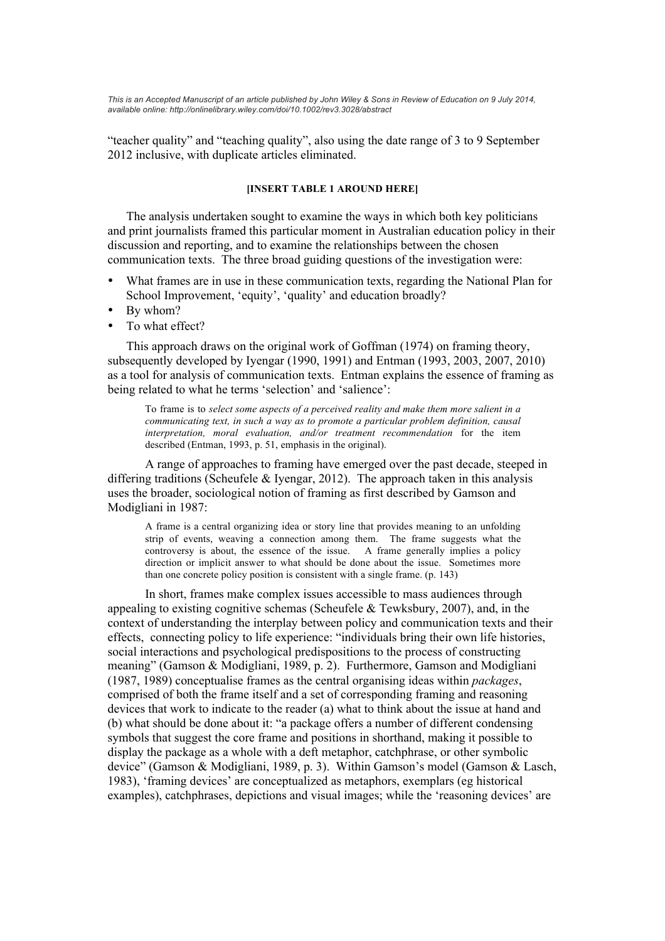"teacher quality" and "teaching quality", also using the date range of 3 to 9 September 2012 inclusive, with duplicate articles eliminated.

### **[INSERT TABLE 1 AROUND HERE]**

The analysis undertaken sought to examine the ways in which both key politicians and print journalists framed this particular moment in Australian education policy in their discussion and reporting, and to examine the relationships between the chosen communication texts. The three broad guiding questions of the investigation were:

- What frames are in use in these communication texts, regarding the National Plan for School Improvement, 'equity', 'quality' and education broadly?
- By whom?
- To what effect?

This approach draws on the original work of Goffman (1974) on framing theory, subsequently developed by Iyengar (1990, 1991) and Entman (1993, 2003, 2007, 2010) as a tool for analysis of communication texts. Entman explains the essence of framing as being related to what he terms 'selection' and 'salience':

To frame is to *select some aspects of a perceived reality and make them more salient in a communicating text, in such a way as to promote a particular problem definition, causal interpretation, moral evaluation, and/or treatment recommendation* for the item described (Entman, 1993, p. 51, emphasis in the original).

A range of approaches to framing have emerged over the past decade, steeped in differing traditions (Scheufele  $&$  Iyengar, 2012). The approach taken in this analysis uses the broader, sociological notion of framing as first described by Gamson and Modigliani in 1987:

A frame is a central organizing idea or story line that provides meaning to an unfolding strip of events, weaving a connection among them. The frame suggests what the controversy is about, the essence of the issue. A frame generally implies a policy direction or implicit answer to what should be done about the issue. Sometimes more than one concrete policy position is consistent with a single frame. (p. 143)

In short, frames make complex issues accessible to mass audiences through appealing to existing cognitive schemas (Scheufele  $\&$  Tewksbury, 2007), and, in the context of understanding the interplay between policy and communication texts and their effects, connecting policy to life experience: "individuals bring their own life histories, social interactions and psychological predispositions to the process of constructing meaning" (Gamson & Modigliani, 1989, p. 2). Furthermore, Gamson and Modigliani (1987, 1989) conceptualise frames as the central organising ideas within *packages*, comprised of both the frame itself and a set of corresponding framing and reasoning devices that work to indicate to the reader (a) what to think about the issue at hand and (b) what should be done about it: "a package offers a number of different condensing symbols that suggest the core frame and positions in shorthand, making it possible to display the package as a whole with a deft metaphor, catchphrase, or other symbolic device" (Gamson & Modigliani, 1989, p. 3). Within Gamson's model (Gamson & Lasch, 1983), 'framing devices' are conceptualized as metaphors, exemplars (eg historical examples), catchphrases, depictions and visual images; while the 'reasoning devices' are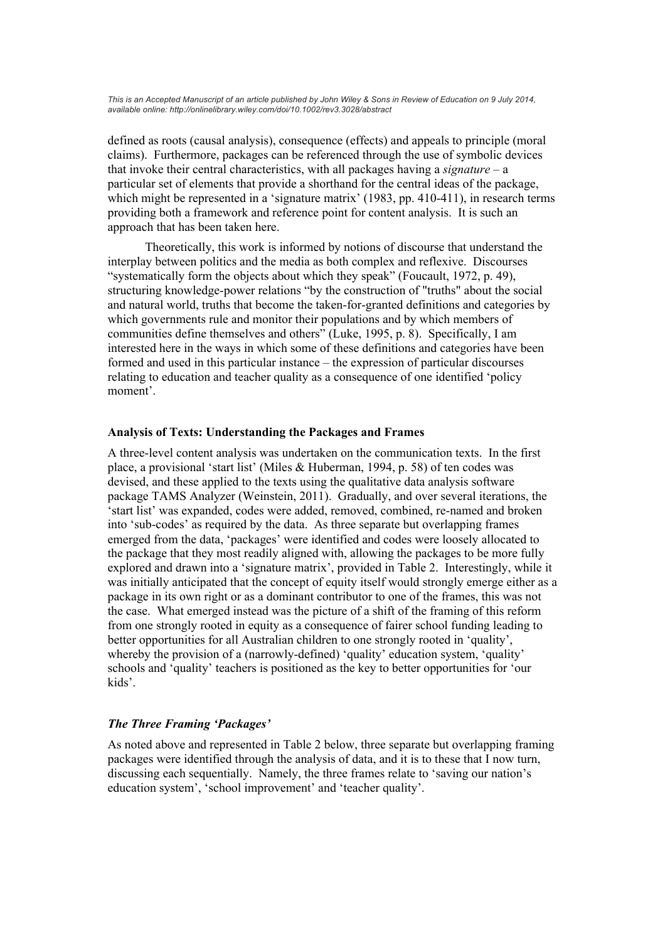defined as roots (causal analysis), consequence (effects) and appeals to principle (moral claims). Furthermore, packages can be referenced through the use of symbolic devices that invoke their central characteristics, with all packages having a *signature* – a particular set of elements that provide a shorthand for the central ideas of the package, which might be represented in a 'signature matrix' (1983, pp. 410-411), in research terms providing both a framework and reference point for content analysis. It is such an approach that has been taken here.

Theoretically, this work is informed by notions of discourse that understand the interplay between politics and the media as both complex and reflexive. Discourses "systematically form the objects about which they speak" (Foucault, 1972, p. 49), structuring knowledge-power relations "by the construction of "truths" about the social and natural world, truths that become the taken-for-granted definitions and categories by which governments rule and monitor their populations and by which members of communities define themselves and others" (Luke, 1995, p. 8). Specifically, I am interested here in the ways in which some of these definitions and categories have been formed and used in this particular instance – the expression of particular discourses relating to education and teacher quality as a consequence of one identified 'policy moment'.

# **Analysis of Texts: Understanding the Packages and Frames**

A three-level content analysis was undertaken on the communication texts. In the first place, a provisional 'start list' (Miles & Huberman, 1994, p. 58) of ten codes was devised, and these applied to the texts using the qualitative data analysis software package TAMS Analyzer (Weinstein, 2011). Gradually, and over several iterations, the 'start list' was expanded, codes were added, removed, combined, re-named and broken into 'sub-codes' as required by the data. As three separate but overlapping frames emerged from the data, 'packages' were identified and codes were loosely allocated to the package that they most readily aligned with, allowing the packages to be more fully explored and drawn into a 'signature matrix', provided in Table 2. Interestingly, while it was initially anticipated that the concept of equity itself would strongly emerge either as a package in its own right or as a dominant contributor to one of the frames, this was not the case. What emerged instead was the picture of a shift of the framing of this reform from one strongly rooted in equity as a consequence of fairer school funding leading to better opportunities for all Australian children to one strongly rooted in 'quality', whereby the provision of a (narrowly-defined) 'quality' education system, 'quality' schools and 'quality' teachers is positioned as the key to better opportunities for 'our kids'.

### *The Three Framing 'Packages'*

As noted above and represented in Table 2 below, three separate but overlapping framing packages were identified through the analysis of data, and it is to these that I now turn, discussing each sequentially. Namely, the three frames relate to 'saving our nation's education system', 'school improvement' and 'teacher quality'.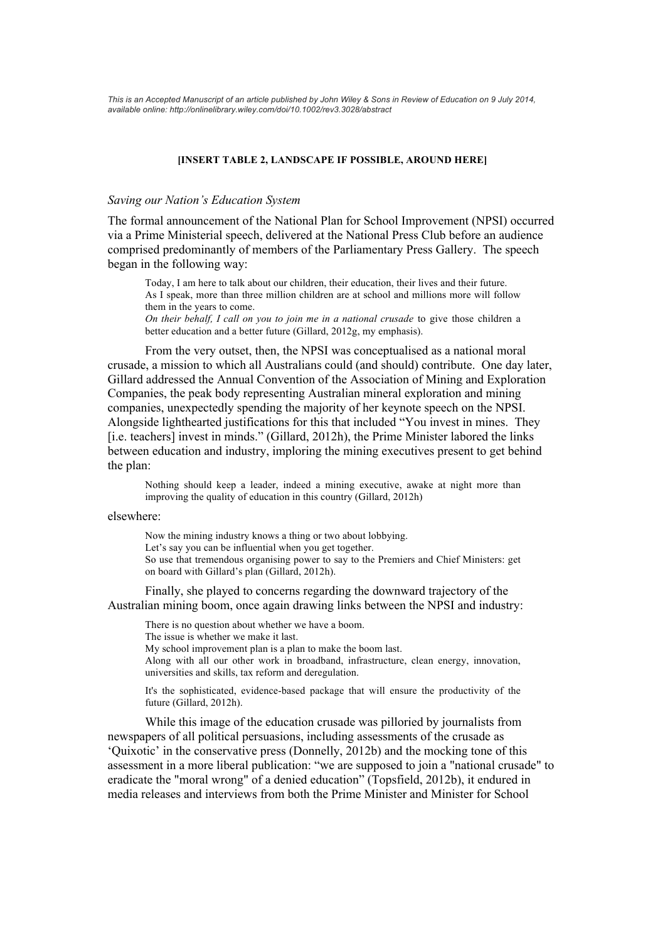#### **[INSERT TABLE 2, LANDSCAPE IF POSSIBLE, AROUND HERE]**

#### *Saving our Nation's Education System*

The formal announcement of the National Plan for School Improvement (NPSI) occurred via a Prime Ministerial speech, delivered at the National Press Club before an audience comprised predominantly of members of the Parliamentary Press Gallery. The speech began in the following way:

Today, I am here to talk about our children, their education, their lives and their future. As I speak, more than three million children are at school and millions more will follow them in the years to come. *On their behalf, I call on you to join me in a national crusade* to give those children a

better education and a better future (Gillard, 2012g, my emphasis).

From the very outset, then, the NPSI was conceptualised as a national moral crusade, a mission to which all Australians could (and should) contribute. One day later, Gillard addressed the Annual Convention of the Association of Mining and Exploration Companies, the peak body representing Australian mineral exploration and mining companies, unexpectedly spending the majority of her keynote speech on the NPSI. Alongside lighthearted justifications for this that included "You invest in mines. They [i.e. teachers] invest in minds." (Gillard, 2012h), the Prime Minister labored the links between education and industry, imploring the mining executives present to get behind the plan:

Nothing should keep a leader, indeed a mining executive, awake at night more than improving the quality of education in this country (Gillard, 2012h)

#### elsewhere:

Now the mining industry knows a thing or two about lobbying. Let's say you can be influential when you get together. So use that tremendous organising power to say to the Premiers and Chief Ministers: get on board with Gillard's plan (Gillard, 2012h).

Finally, she played to concerns regarding the downward trajectory of the Australian mining boom, once again drawing links between the NPSI and industry:

There is no question about whether we have a boom.

The issue is whether we make it last.

My school improvement plan is a plan to make the boom last.

Along with all our other work in broadband, infrastructure, clean energy, innovation, universities and skills, tax reform and deregulation.

It's the sophisticated, evidence-based package that will ensure the productivity of the future (Gillard, 2012h).

While this image of the education crusade was pilloried by journalists from newspapers of all political persuasions, including assessments of the crusade as 'Quixotic' in the conservative press (Donnelly, 2012b) and the mocking tone of this assessment in a more liberal publication: "we are supposed to join a "national crusade" to eradicate the "moral wrong" of a denied education" (Topsfield, 2012b), it endured in media releases and interviews from both the Prime Minister and Minister for School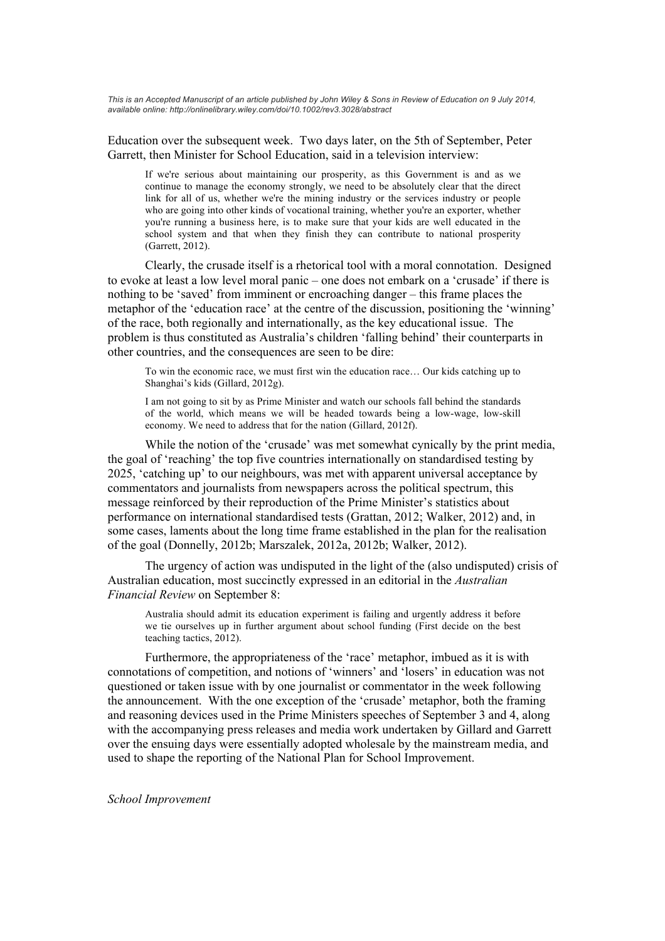Education over the subsequent week. Two days later, on the 5th of September, Peter Garrett, then Minister for School Education, said in a television interview:

If we're serious about maintaining our prosperity, as this Government is and as we continue to manage the economy strongly, we need to be absolutely clear that the direct link for all of us, whether we're the mining industry or the services industry or people who are going into other kinds of vocational training, whether you're an exporter, whether you're running a business here, is to make sure that your kids are well educated in the school system and that when they finish they can contribute to national prosperity (Garrett, 2012).

Clearly, the crusade itself is a rhetorical tool with a moral connotation. Designed to evoke at least a low level moral panic – one does not embark on a 'crusade' if there is nothing to be 'saved' from imminent or encroaching danger – this frame places the metaphor of the 'education race' at the centre of the discussion, positioning the 'winning' of the race, both regionally and internationally, as the key educational issue. The problem is thus constituted as Australia's children 'falling behind' their counterparts in other countries, and the consequences are seen to be dire:

To win the economic race, we must first win the education race… Our kids catching up to Shanghai's kids (Gillard, 2012g).

I am not going to sit by as Prime Minister and watch our schools fall behind the standards of the world, which means we will be headed towards being a low-wage, low-skill economy. We need to address that for the nation (Gillard, 2012f).

While the notion of the 'crusade' was met somewhat cynically by the print media, the goal of 'reaching' the top five countries internationally on standardised testing by 2025, 'catching up' to our neighbours, was met with apparent universal acceptance by commentators and journalists from newspapers across the political spectrum, this message reinforced by their reproduction of the Prime Minister's statistics about performance on international standardised tests (Grattan, 2012; Walker, 2012) and, in some cases, laments about the long time frame established in the plan for the realisation of the goal (Donnelly, 2012b; Marszalek, 2012a, 2012b; Walker, 2012).

The urgency of action was undisputed in the light of the (also undisputed) crisis of Australian education, most succinctly expressed in an editorial in the *Australian Financial Review* on September 8:

Australia should admit its education experiment is failing and urgently address it before we tie ourselves up in further argument about school funding (First decide on the best teaching tactics, 2012).

Furthermore, the appropriateness of the 'race' metaphor, imbued as it is with connotations of competition, and notions of 'winners' and 'losers' in education was not questioned or taken issue with by one journalist or commentator in the week following the announcement. With the one exception of the 'crusade' metaphor, both the framing and reasoning devices used in the Prime Ministers speeches of September 3 and 4, along with the accompanying press releases and media work undertaken by Gillard and Garrett over the ensuing days were essentially adopted wholesale by the mainstream media, and used to shape the reporting of the National Plan for School Improvement.

*School Improvement*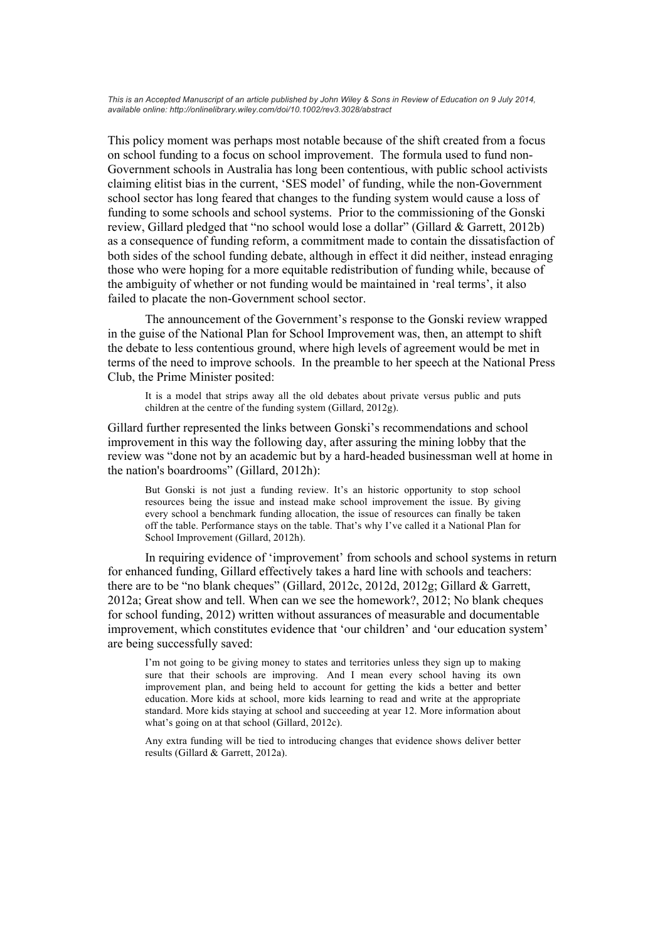This policy moment was perhaps most notable because of the shift created from a focus on school funding to a focus on school improvement. The formula used to fund non-Government schools in Australia has long been contentious, with public school activists claiming elitist bias in the current, 'SES model' of funding, while the non-Government school sector has long feared that changes to the funding system would cause a loss of funding to some schools and school systems. Prior to the commissioning of the Gonski review, Gillard pledged that "no school would lose a dollar" (Gillard & Garrett, 2012b) as a consequence of funding reform, a commitment made to contain the dissatisfaction of both sides of the school funding debate, although in effect it did neither, instead enraging those who were hoping for a more equitable redistribution of funding while, because of the ambiguity of whether or not funding would be maintained in 'real terms', it also failed to placate the non-Government school sector.

The announcement of the Government's response to the Gonski review wrapped in the guise of the National Plan for School Improvement was, then, an attempt to shift the debate to less contentious ground, where high levels of agreement would be met in terms of the need to improve schools. In the preamble to her speech at the National Press Club, the Prime Minister posited:

It is a model that strips away all the old debates about private versus public and puts children at the centre of the funding system (Gillard, 2012g).

Gillard further represented the links between Gonski's recommendations and school improvement in this way the following day, after assuring the mining lobby that the review was "done not by an academic but by a hard-headed businessman well at home in the nation's boardrooms" (Gillard, 2012h):

But Gonski is not just a funding review. It's an historic opportunity to stop school resources being the issue and instead make school improvement the issue. By giving every school a benchmark funding allocation, the issue of resources can finally be taken off the table. Performance stays on the table. That's why I've called it a National Plan for School Improvement (Gillard, 2012h).

In requiring evidence of 'improvement' from schools and school systems in return for enhanced funding, Gillard effectively takes a hard line with schools and teachers: there are to be "no blank cheques" (Gillard, 2012c, 2012d, 2012g; Gillard & Garrett, 2012a; Great show and tell. When can we see the homework?, 2012; No blank cheques for school funding, 2012) written without assurances of measurable and documentable improvement, which constitutes evidence that 'our children' and 'our education system' are being successfully saved:

I'm not going to be giving money to states and territories unless they sign up to making sure that their schools are improving. And I mean every school having its own improvement plan, and being held to account for getting the kids a better and better education. More kids at school, more kids learning to read and write at the appropriate standard. More kids staying at school and succeeding at year 12. More information about what's going on at that school (Gillard, 2012c).

Any extra funding will be tied to introducing changes that evidence shows deliver better results (Gillard & Garrett, 2012a).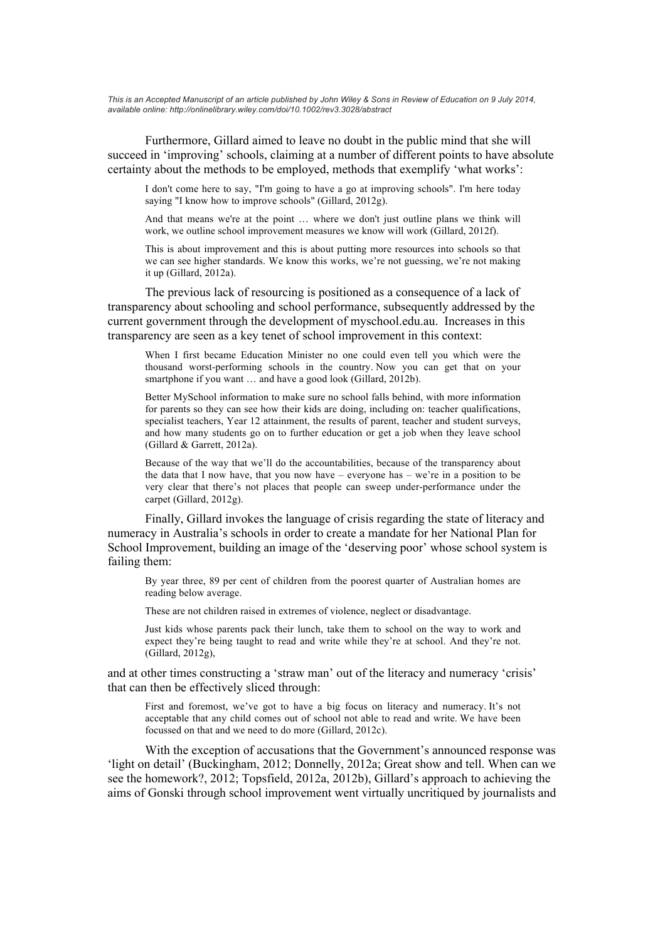Furthermore, Gillard aimed to leave no doubt in the public mind that she will succeed in 'improving' schools, claiming at a number of different points to have absolute certainty about the methods to be employed, methods that exemplify 'what works':

I don't come here to say, "I'm going to have a go at improving schools". I'm here today saying "I know how to improve schools" (Gillard, 2012g).

And that means we're at the point … where we don't just outline plans we think will work, we outline school improvement measures we know will work (Gillard, 2012f).

This is about improvement and this is about putting more resources into schools so that we can see higher standards. We know this works, we're not guessing, we're not making it up (Gillard, 2012a).

The previous lack of resourcing is positioned as a consequence of a lack of transparency about schooling and school performance, subsequently addressed by the current government through the development of myschool.edu.au. Increases in this transparency are seen as a key tenet of school improvement in this context:

When I first became Education Minister no one could even tell you which were the thousand worst-performing schools in the country. Now you can get that on your smartphone if you want ... and have a good look (Gillard, 2012b).

Better MySchool information to make sure no school falls behind, with more information for parents so they can see how their kids are doing, including on: teacher qualifications, specialist teachers, Year 12 attainment, the results of parent, teacher and student surveys, and how many students go on to further education or get a job when they leave school (Gillard & Garrett, 2012a).

Because of the way that we'll do the accountabilities, because of the transparency about the data that I now have, that you now have – everyone has – we're in a position to be very clear that there's not places that people can sweep under-performance under the carpet (Gillard, 2012g).

Finally, Gillard invokes the language of crisis regarding the state of literacy and numeracy in Australia's schools in order to create a mandate for her National Plan for School Improvement, building an image of the 'deserving poor' whose school system is failing them:

By year three, 89 per cent of children from the poorest quarter of Australian homes are reading below average.

These are not children raised in extremes of violence, neglect or disadvantage.

Just kids whose parents pack their lunch, take them to school on the way to work and expect they're being taught to read and write while they're at school. And they're not. (Gillard, 2012g),

and at other times constructing a 'straw man' out of the literacy and numeracy 'crisis' that can then be effectively sliced through:

First and foremost, we've got to have a big focus on literacy and numeracy. It's not acceptable that any child comes out of school not able to read and write. We have been focussed on that and we need to do more (Gillard, 2012c).

With the exception of accusations that the Government's announced response was 'light on detail' (Buckingham, 2012; Donnelly, 2012a; Great show and tell. When can we see the homework?, 2012; Topsfield, 2012a, 2012b), Gillard's approach to achieving the aims of Gonski through school improvement went virtually uncritiqued by journalists and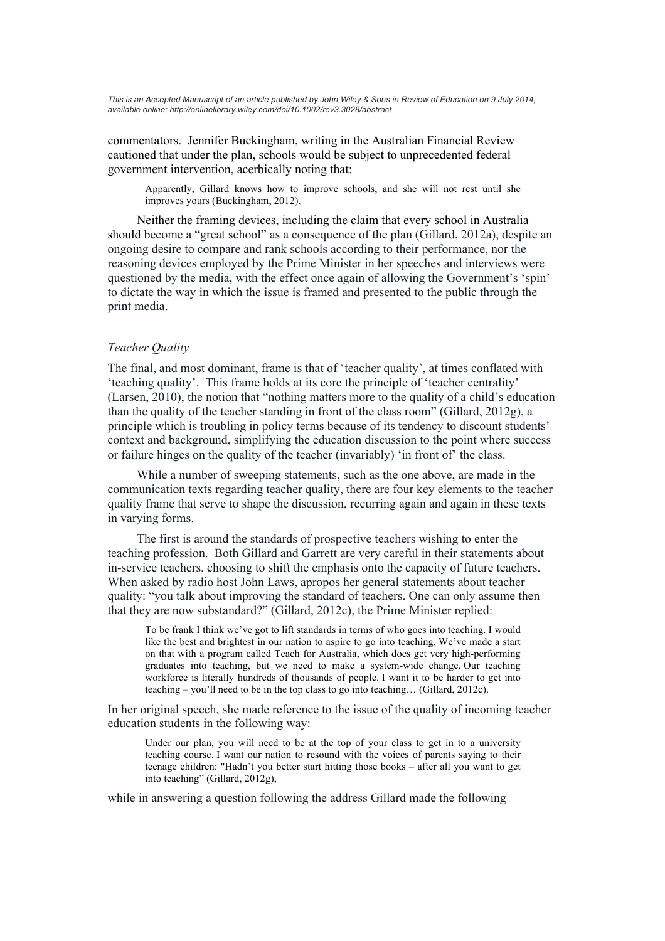commentators. Jennifer Buckingham, writing in the Australian Financial Review cautioned that under the plan, schools would be subject to unprecedented federal government intervention, acerbically noting that:

Apparently, Gillard knows how to improve schools, and she will not rest until she improves yours (Buckingham, 2012).

Neither the framing devices, including the claim that every school in Australia should become a "great school" as a consequence of the plan (Gillard, 2012a), despite an ongoing desire to compare and rank schools according to their performance, nor the reasoning devices employed by the Prime Minister in her speeches and interviews were questioned by the media, with the effect once again of allowing the Government's 'spin' to dictate the way in which the issue is framed and presented to the public through the print media.

# *Teacher Quality*

The final, and most dominant, frame is that of 'teacher quality', at times conflated with 'teaching quality'. This frame holds at its core the principle of 'teacher centrality' (Larsen, 2010), the notion that "nothing matters more to the quality of a child's education than the quality of the teacher standing in front of the class room" (Gillard, 2012g), a principle which is troubling in policy terms because of its tendency to discount students' context and background, simplifying the education discussion to the point where success or failure hinges on the quality of the teacher (invariably) 'in front of' the class.

While a number of sweeping statements, such as the one above, are made in the communication texts regarding teacher quality, there are four key elements to the teacher quality frame that serve to shape the discussion, recurring again and again in these texts in varying forms.

The first is around the standards of prospective teachers wishing to enter the teaching profession. Both Gillard and Garrett are very careful in their statements about in-service teachers, choosing to shift the emphasis onto the capacity of future teachers. When asked by radio host John Laws, apropos her general statements about teacher quality: "you talk about improving the standard of teachers. One can only assume then that they are now substandard?" (Gillard, 2012c), the Prime Minister replied:

To be frank I think we've got to lift standards in terms of who goes into teaching. I would like the best and brightest in our nation to aspire to go into teaching. We've made a start on that with a program called Teach for Australia, which does get very high-performing graduates into teaching, but we need to make a system-wide change. Our teaching workforce is literally hundreds of thousands of people. I want it to be harder to get into teaching – you'll need to be in the top class to go into teaching… (Gillard, 2012c).

In her original speech, she made reference to the issue of the quality of incoming teacher education students in the following way:

Under our plan, you will need to be at the top of your class to get in to a university teaching course. I want our nation to resound with the voices of parents saying to their teenage children: "Hadn't you better start hitting those books – after all you want to get into teaching" (Gillard, 2012g),

while in answering a question following the address Gillard made the following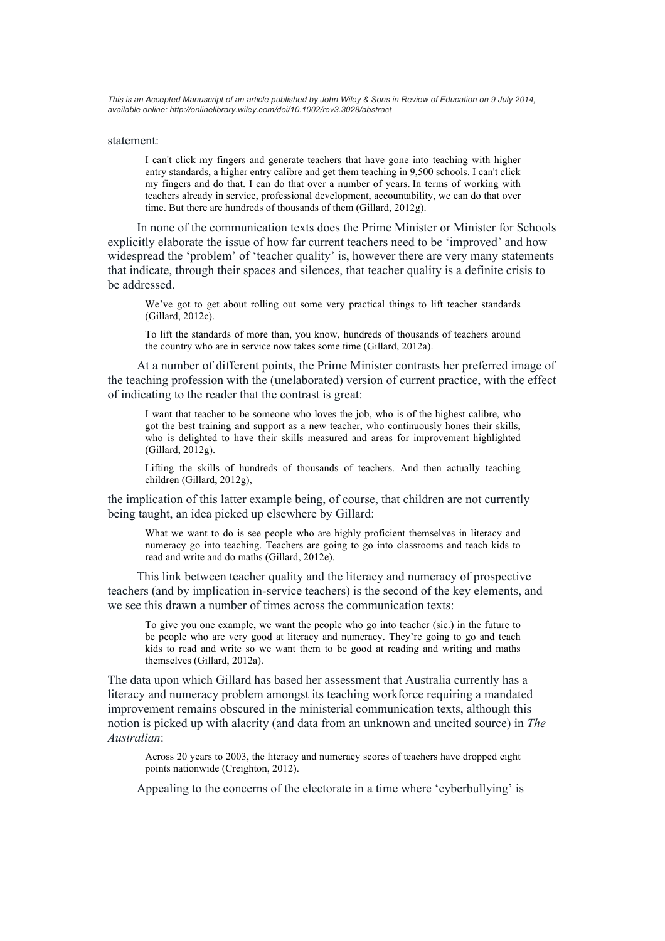statement:

I can't click my fingers and generate teachers that have gone into teaching with higher entry standards, a higher entry calibre and get them teaching in 9,500 schools. I can't click my fingers and do that. I can do that over a number of years. In terms of working with teachers already in service, professional development, accountability, we can do that over time. But there are hundreds of thousands of them (Gillard, 2012g).

In none of the communication texts does the Prime Minister or Minister for Schools explicitly elaborate the issue of how far current teachers need to be 'improved' and how widespread the 'problem' of 'teacher quality' is, however there are very many statements that indicate, through their spaces and silences, that teacher quality is a definite crisis to be addressed.

We've got to get about rolling out some very practical things to lift teacher standards (Gillard, 2012c).

To lift the standards of more than, you know, hundreds of thousands of teachers around the country who are in service now takes some time (Gillard, 2012a).

At a number of different points, the Prime Minister contrasts her preferred image of the teaching profession with the (unelaborated) version of current practice, with the effect of indicating to the reader that the contrast is great:

I want that teacher to be someone who loves the job, who is of the highest calibre, who got the best training and support as a new teacher, who continuously hones their skills, who is delighted to have their skills measured and areas for improvement highlighted (Gillard, 2012g).

Lifting the skills of hundreds of thousands of teachers. And then actually teaching children (Gillard, 2012g),

the implication of this latter example being, of course, that children are not currently being taught, an idea picked up elsewhere by Gillard:

What we want to do is see people who are highly proficient themselves in literacy and numeracy go into teaching. Teachers are going to go into classrooms and teach kids to read and write and do maths (Gillard, 2012e).

This link between teacher quality and the literacy and numeracy of prospective teachers (and by implication in-service teachers) is the second of the key elements, and we see this drawn a number of times across the communication texts:

To give you one example, we want the people who go into teacher (sic.) in the future to be people who are very good at literacy and numeracy. They're going to go and teach kids to read and write so we want them to be good at reading and writing and maths themselves (Gillard, 2012a).

The data upon which Gillard has based her assessment that Australia currently has a literacy and numeracy problem amongst its teaching workforce requiring a mandated improvement remains obscured in the ministerial communication texts, although this notion is picked up with alacrity (and data from an unknown and uncited source) in *The Australian*:

Across 20 years to 2003, the literacy and numeracy scores of teachers have dropped eight points nationwide (Creighton, 2012).

Appealing to the concerns of the electorate in a time where 'cyberbullying' is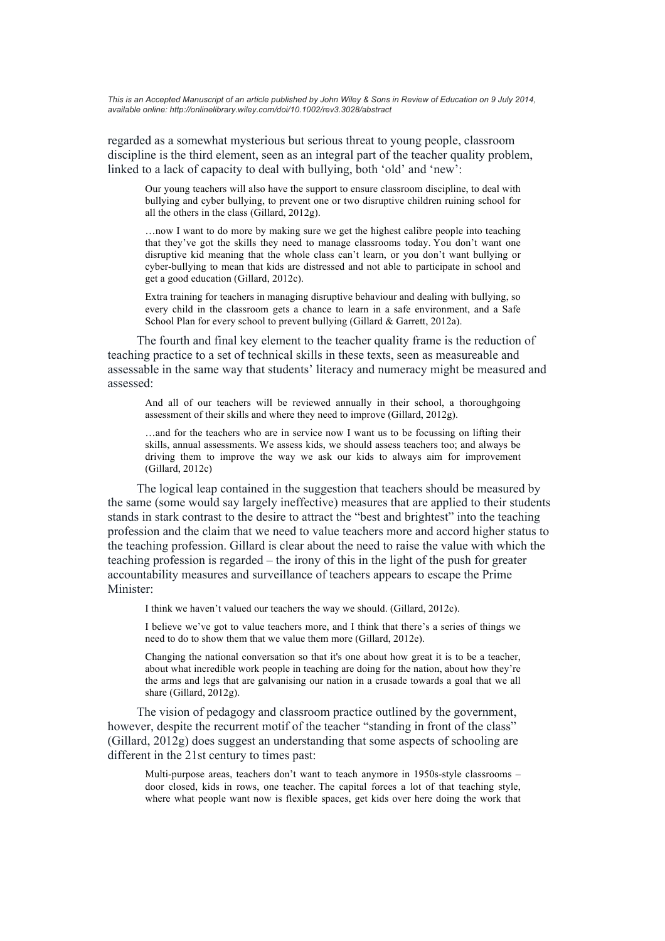regarded as a somewhat mysterious but serious threat to young people, classroom discipline is the third element, seen as an integral part of the teacher quality problem, linked to a lack of capacity to deal with bullying, both 'old' and 'new':

Our young teachers will also have the support to ensure classroom discipline, to deal with bullying and cyber bullying, to prevent one or two disruptive children ruining school for all the others in the class (Gillard, 2012g).

…now I want to do more by making sure we get the highest calibre people into teaching that they've got the skills they need to manage classrooms today. You don't want one disruptive kid meaning that the whole class can't learn, or you don't want bullying or cyber-bullying to mean that kids are distressed and not able to participate in school and get a good education (Gillard, 2012c).

Extra training for teachers in managing disruptive behaviour and dealing with bullying, so every child in the classroom gets a chance to learn in a safe environment, and a Safe School Plan for every school to prevent bullying (Gillard & Garrett, 2012a).

The fourth and final key element to the teacher quality frame is the reduction of teaching practice to a set of technical skills in these texts, seen as measureable and assessable in the same way that students' literacy and numeracy might be measured and assessed:

And all of our teachers will be reviewed annually in their school, a thoroughgoing assessment of their skills and where they need to improve (Gillard, 2012g).

…and for the teachers who are in service now I want us to be focussing on lifting their skills, annual assessments. We assess kids, we should assess teachers too; and always be driving them to improve the way we ask our kids to always aim for improvement (Gillard, 2012c)

The logical leap contained in the suggestion that teachers should be measured by the same (some would say largely ineffective) measures that are applied to their students stands in stark contrast to the desire to attract the "best and brightest" into the teaching profession and the claim that we need to value teachers more and accord higher status to the teaching profession. Gillard is clear about the need to raise the value with which the teaching profession is regarded – the irony of this in the light of the push for greater accountability measures and surveillance of teachers appears to escape the Prime Minister:

I think we haven't valued our teachers the way we should. (Gillard, 2012c).

I believe we've got to value teachers more, and I think that there's a series of things we need to do to show them that we value them more (Gillard, 2012e).

Changing the national conversation so that it's one about how great it is to be a teacher, about what incredible work people in teaching are doing for the nation, about how they're the arms and legs that are galvanising our nation in a crusade towards a goal that we all share (Gillard, 2012g).

The vision of pedagogy and classroom practice outlined by the government, however, despite the recurrent motif of the teacher "standing in front of the class" (Gillard, 2012g) does suggest an understanding that some aspects of schooling are different in the 21st century to times past:

Multi-purpose areas, teachers don't want to teach anymore in 1950s-style classrooms – door closed, kids in rows, one teacher. The capital forces a lot of that teaching style, where what people want now is flexible spaces, get kids over here doing the work that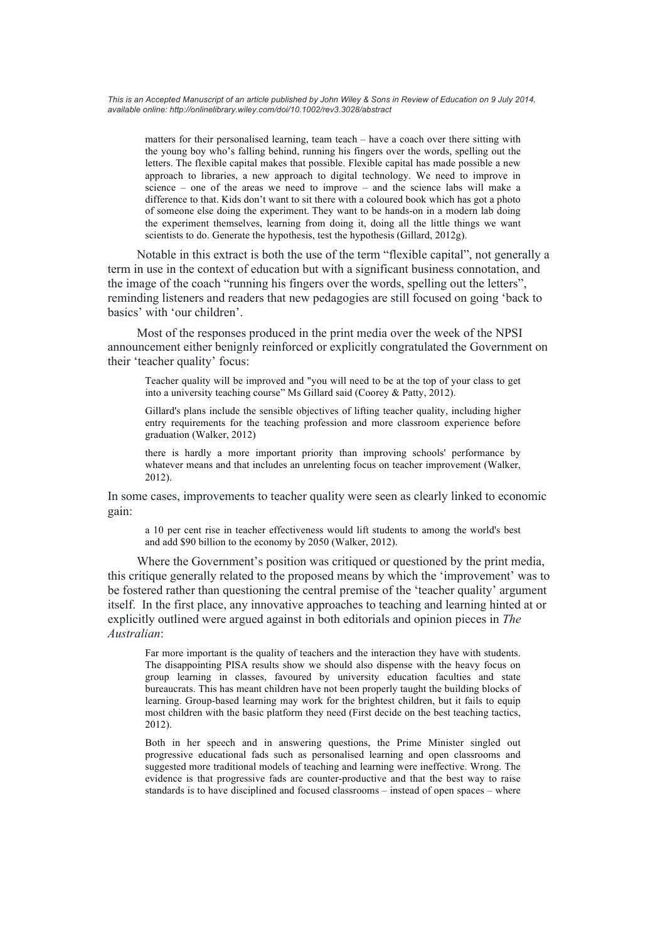matters for their personalised learning, team teach – have a coach over there sitting with the young boy who's falling behind, running his fingers over the words, spelling out the letters. The flexible capital makes that possible. Flexible capital has made possible a new approach to libraries, a new approach to digital technology. We need to improve in science – one of the areas we need to improve – and the science labs will make a difference to that. Kids don't want to sit there with a coloured book which has got a photo of someone else doing the experiment. They want to be hands-on in a modern lab doing the experiment themselves, learning from doing it, doing all the little things we want scientists to do. Generate the hypothesis, test the hypothesis (Gillard, 2012g).

Notable in this extract is both the use of the term "flexible capital", not generally a term in use in the context of education but with a significant business connotation, and the image of the coach "running his fingers over the words, spelling out the letters", reminding listeners and readers that new pedagogies are still focused on going 'back to basics' with 'our children'.

Most of the responses produced in the print media over the week of the NPSI announcement either benignly reinforced or explicitly congratulated the Government on their 'teacher quality' focus:

Teacher quality will be improved and "you will need to be at the top of your class to get into a university teaching course" Ms Gillard said (Coorey & Patty, 2012).

Gillard's plans include the sensible objectives of lifting teacher quality, including higher entry requirements for the teaching profession and more classroom experience before graduation (Walker, 2012)

there is hardly a more important priority than improving schools' performance by whatever means and that includes an unrelenting focus on teacher improvement (Walker, 2012).

In some cases, improvements to teacher quality were seen as clearly linked to economic gain:

a 10 per cent rise in teacher effectiveness would lift students to among the world's best and add \$90 billion to the economy by 2050 (Walker, 2012).

Where the Government's position was critiqued or questioned by the print media, this critique generally related to the proposed means by which the 'improvement' was to be fostered rather than questioning the central premise of the 'teacher quality' argument itself. In the first place, any innovative approaches to teaching and learning hinted at or explicitly outlined were argued against in both editorials and opinion pieces in *The Australian*:

Far more important is the quality of teachers and the interaction they have with students. The disappointing PISA results show we should also dispense with the heavy focus on group learning in classes, favoured by university education faculties and state bureaucrats. This has meant children have not been properly taught the building blocks of learning. Group-based learning may work for the brightest children, but it fails to equip most children with the basic platform they need (First decide on the best teaching tactics, 2012).

Both in her speech and in answering questions, the Prime Minister singled out progressive educational fads such as personalised learning and open classrooms and suggested more traditional models of teaching and learning were ineffective. Wrong. The evidence is that progressive fads are counter-productive and that the best way to raise standards is to have disciplined and focused classrooms – instead of open spaces – where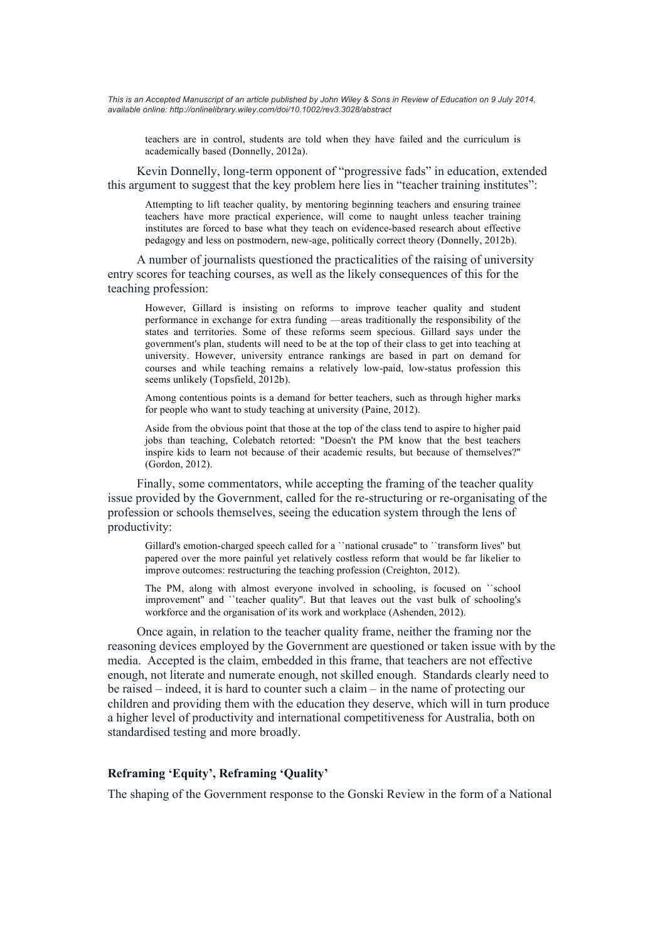teachers are in control, students are told when they have failed and the curriculum is academically based (Donnelly, 2012a).

Kevin Donnelly, long-term opponent of "progressive fads" in education, extended this argument to suggest that the key problem here lies in "teacher training institutes":

Attempting to lift teacher quality, by mentoring beginning teachers and ensuring trainee teachers have more practical experience, will come to naught unless teacher training institutes are forced to base what they teach on evidence-based research about effective pedagogy and less on postmodern, new-age, politically correct theory (Donnelly, 2012b).

A number of journalists questioned the practicalities of the raising of university entry scores for teaching courses, as well as the likely consequences of this for the teaching profession:

However, Gillard is insisting on reforms to improve teacher quality and student performance in exchange for extra funding —areas traditionally the responsibility of the states and territories. Some of these reforms seem specious. Gillard says under the government's plan, students will need to be at the top of their class to get into teaching at university. However, university entrance rankings are based in part on demand for courses and while teaching remains a relatively low-paid, low-status profession this seems unlikely (Topsfield, 2012b).

Among contentious points is a demand for better teachers, such as through higher marks for people who want to study teaching at university (Paine, 2012).

Aside from the obvious point that those at the top of the class tend to aspire to higher paid jobs than teaching, Colebatch retorted: "Doesn't the PM know that the best teachers inspire kids to learn not because of their academic results, but because of themselves?" (Gordon, 2012).

Finally, some commentators, while accepting the framing of the teacher quality issue provided by the Government, called for the re-structuring or re-organisating of the profession or schools themselves, seeing the education system through the lens of productivity:

Gillard's emotion-charged speech called for a ``national crusade'' to ``transform lives'' but papered over the more painful yet relatively costless reform that would be far likelier to improve outcomes: restructuring the teaching profession (Creighton, 2012).

The PM, along with almost everyone involved in schooling, is focused on ``school improvement'' and ``teacher quality''. But that leaves out the vast bulk of schooling's workforce and the organisation of its work and workplace (Ashenden, 2012).

Once again, in relation to the teacher quality frame, neither the framing nor the reasoning devices employed by the Government are questioned or taken issue with by the media. Accepted is the claim, embedded in this frame, that teachers are not effective enough, not literate and numerate enough, not skilled enough. Standards clearly need to be raised – indeed, it is hard to counter such a claim – in the name of protecting our children and providing them with the education they deserve, which will in turn produce a higher level of productivity and international competitiveness for Australia, both on standardised testing and more broadly.

# **Reframing 'Equity', Reframing 'Quality'**

The shaping of the Government response to the Gonski Review in the form of a National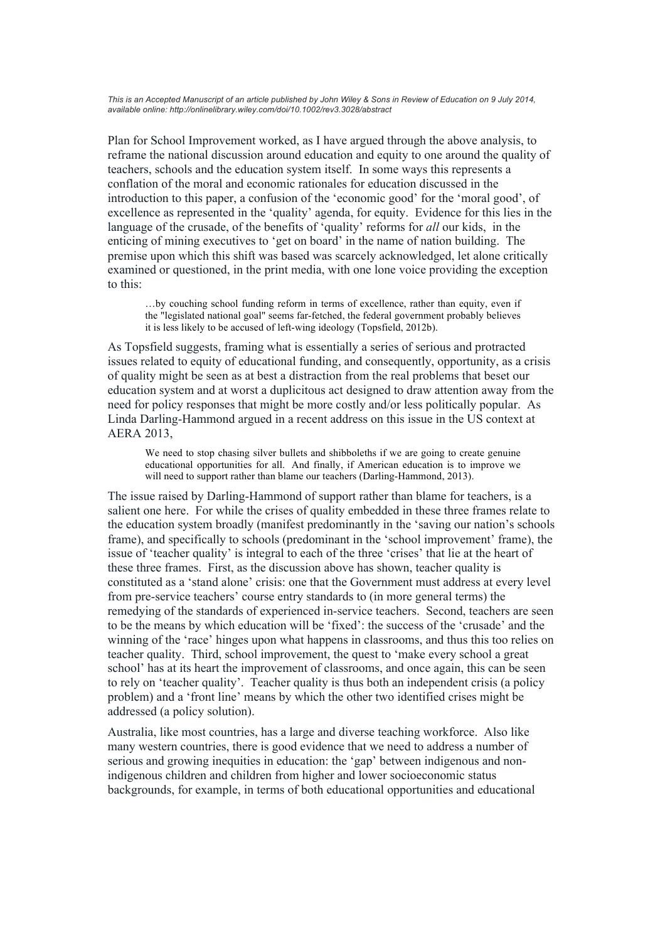Plan for School Improvement worked, as I have argued through the above analysis, to reframe the national discussion around education and equity to one around the quality of teachers, schools and the education system itself. In some ways this represents a conflation of the moral and economic rationales for education discussed in the introduction to this paper, a confusion of the 'economic good' for the 'moral good', of excellence as represented in the 'quality' agenda, for equity. Evidence for this lies in the language of the crusade, of the benefits of 'quality' reforms for *all* our kids, in the enticing of mining executives to 'get on board' in the name of nation building. The premise upon which this shift was based was scarcely acknowledged, let alone critically examined or questioned, in the print media, with one lone voice providing the exception to this:

…by couching school funding reform in terms of excellence, rather than equity, even if the "legislated national goal" seems far-fetched, the federal government probably believes it is less likely to be accused of left-wing ideology (Topsfield, 2012b).

As Topsfield suggests, framing what is essentially a series of serious and protracted issues related to equity of educational funding, and consequently, opportunity, as a crisis of quality might be seen as at best a distraction from the real problems that beset our education system and at worst a duplicitous act designed to draw attention away from the need for policy responses that might be more costly and/or less politically popular. As Linda Darling-Hammond argued in a recent address on this issue in the US context at AERA 2013,

We need to stop chasing silver bullets and shibboleths if we are going to create genuine educational opportunities for all. And finally, if American education is to improve we will need to support rather than blame our teachers (Darling-Hammond, 2013).

The issue raised by Darling-Hammond of support rather than blame for teachers, is a salient one here. For while the crises of quality embedded in these three frames relate to the education system broadly (manifest predominantly in the 'saving our nation's schools frame), and specifically to schools (predominant in the 'school improvement' frame), the issue of 'teacher quality' is integral to each of the three 'crises' that lie at the heart of these three frames. First, as the discussion above has shown, teacher quality is constituted as a 'stand alone' crisis: one that the Government must address at every level from pre-service teachers' course entry standards to (in more general terms) the remedying of the standards of experienced in-service teachers. Second, teachers are seen to be the means by which education will be 'fixed': the success of the 'crusade' and the winning of the 'race' hinges upon what happens in classrooms, and thus this too relies on teacher quality. Third, school improvement, the quest to 'make every school a great school' has at its heart the improvement of classrooms, and once again, this can be seen to rely on 'teacher quality'. Teacher quality is thus both an independent crisis (a policy problem) and a 'front line' means by which the other two identified crises might be addressed (a policy solution).

Australia, like most countries, has a large and diverse teaching workforce. Also like many western countries, there is good evidence that we need to address a number of serious and growing inequities in education: the 'gap' between indigenous and nonindigenous children and children from higher and lower socioeconomic status backgrounds, for example, in terms of both educational opportunities and educational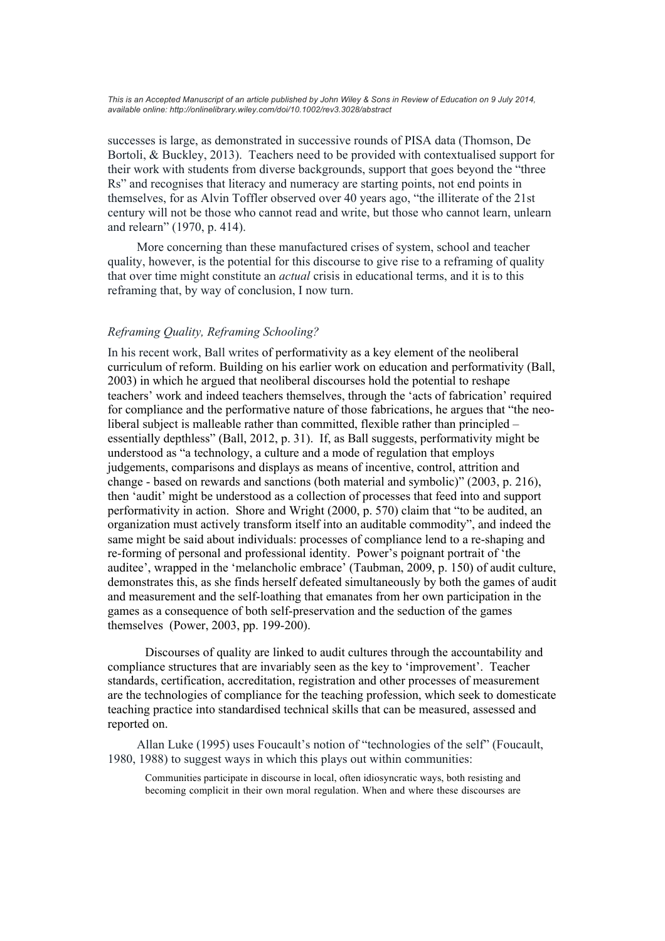successes is large, as demonstrated in successive rounds of PISA data (Thomson, De Bortoli, & Buckley, 2013). Teachers need to be provided with contextualised support for their work with students from diverse backgrounds, support that goes beyond the "three Rs" and recognises that literacy and numeracy are starting points, not end points in themselves, for as Alvin Toffler observed over 40 years ago, "the illiterate of the 21st century will not be those who cannot read and write, but those who cannot learn, unlearn and relearn" (1970, p. 414).

More concerning than these manufactured crises of system, school and teacher quality, however, is the potential for this discourse to give rise to a reframing of quality that over time might constitute an *actual* crisis in educational terms, and it is to this reframing that, by way of conclusion, I now turn.

# *Reframing Quality, Reframing Schooling?*

In his recent work, Ball writes of performativity as a key element of the neoliberal curriculum of reform. Building on his earlier work on education and performativity (Ball, 2003) in which he argued that neoliberal discourses hold the potential to reshape teachers' work and indeed teachers themselves, through the 'acts of fabrication' required for compliance and the performative nature of those fabrications, he argues that "the neoliberal subject is malleable rather than committed, flexible rather than principled – essentially depthless" (Ball, 2012, p. 31). If, as Ball suggests, performativity might be understood as "a technology, a culture and a mode of regulation that employs judgements, comparisons and displays as means of incentive, control, attrition and change - based on rewards and sanctions (both material and symbolic)" (2003, p. 216), then 'audit' might be understood as a collection of processes that feed into and support performativity in action. Shore and Wright (2000, p. 570) claim that "to be audited, an organization must actively transform itself into an auditable commodity", and indeed the same might be said about individuals: processes of compliance lend to a re-shaping and re-forming of personal and professional identity. Power's poignant portrait of 'the auditee', wrapped in the 'melancholic embrace' (Taubman, 2009, p. 150) of audit culture, demonstrates this, as she finds herself defeated simultaneously by both the games of audit and measurement and the self-loathing that emanates from her own participation in the games as a consequence of both self-preservation and the seduction of the games themselves (Power, 2003, pp. 199-200).

Discourses of quality are linked to audit cultures through the accountability and compliance structures that are invariably seen as the key to 'improvement'. Teacher standards, certification, accreditation, registration and other processes of measurement are the technologies of compliance for the teaching profession, which seek to domesticate teaching practice into standardised technical skills that can be measured, assessed and reported on.

Allan Luke (1995) uses Foucault's notion of "technologies of the self" (Foucault, 1980, 1988) to suggest ways in which this plays out within communities:

Communities participate in discourse in local, often idiosyncratic ways, both resisting and becoming complicit in their own moral regulation. When and where these discourses are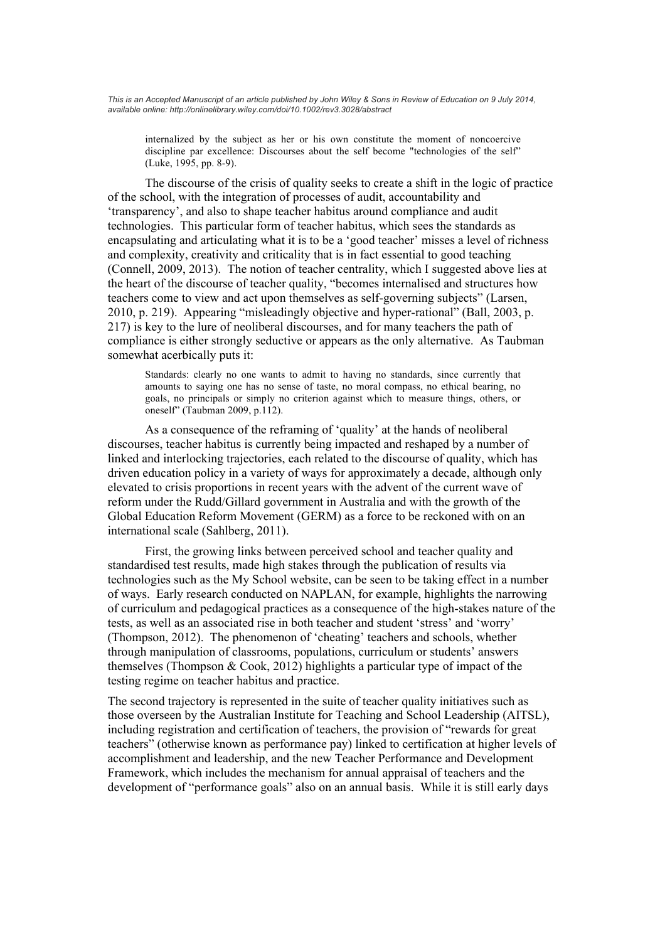internalized by the subject as her or his own constitute the moment of noncoercive discipline par excellence: Discourses about the self become "technologies of the self" (Luke, 1995, pp. 8-9).

The discourse of the crisis of quality seeks to create a shift in the logic of practice of the school, with the integration of processes of audit, accountability and 'transparency', and also to shape teacher habitus around compliance and audit technologies. This particular form of teacher habitus, which sees the standards as encapsulating and articulating what it is to be a 'good teacher' misses a level of richness and complexity, creativity and criticality that is in fact essential to good teaching (Connell, 2009, 2013). The notion of teacher centrality, which I suggested above lies at the heart of the discourse of teacher quality, "becomes internalised and structures how teachers come to view and act upon themselves as self-governing subjects" (Larsen, 2010, p. 219). Appearing "misleadingly objective and hyper-rational" (Ball, 2003, p. 217) is key to the lure of neoliberal discourses, and for many teachers the path of compliance is either strongly seductive or appears as the only alternative. As Taubman somewhat acerbically puts it:

Standards: clearly no one wants to admit to having no standards, since currently that amounts to saying one has no sense of taste, no moral compass, no ethical bearing, no goals, no principals or simply no criterion against which to measure things, others, or oneself" (Taubman 2009, p.112).

As a consequence of the reframing of 'quality' at the hands of neoliberal discourses, teacher habitus is currently being impacted and reshaped by a number of linked and interlocking trajectories, each related to the discourse of quality, which has driven education policy in a variety of ways for approximately a decade, although only elevated to crisis proportions in recent years with the advent of the current wave of reform under the Rudd/Gillard government in Australia and with the growth of the Global Education Reform Movement (GERM) as a force to be reckoned with on an international scale (Sahlberg, 2011).

First, the growing links between perceived school and teacher quality and standardised test results, made high stakes through the publication of results via technologies such as the My School website, can be seen to be taking effect in a number of ways. Early research conducted on NAPLAN, for example, highlights the narrowing of curriculum and pedagogical practices as a consequence of the high-stakes nature of the tests, as well as an associated rise in both teacher and student 'stress' and 'worry' (Thompson, 2012). The phenomenon of 'cheating' teachers and schools, whether through manipulation of classrooms, populations, curriculum or students' answers themselves (Thompson  $& Cook, 2012$ ) highlights a particular type of impact of the testing regime on teacher habitus and practice.

The second trajectory is represented in the suite of teacher quality initiatives such as those overseen by the Australian Institute for Teaching and School Leadership (AITSL), including registration and certification of teachers, the provision of "rewards for great teachers" (otherwise known as performance pay) linked to certification at higher levels of accomplishment and leadership, and the new Teacher Performance and Development Framework, which includes the mechanism for annual appraisal of teachers and the development of "performance goals" also on an annual basis. While it is still early days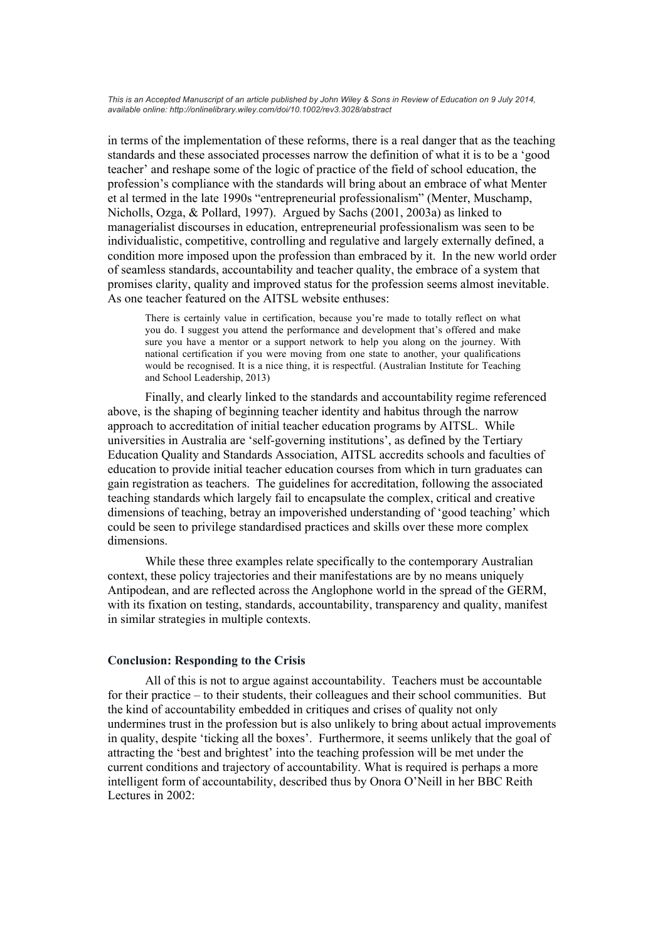in terms of the implementation of these reforms, there is a real danger that as the teaching standards and these associated processes narrow the definition of what it is to be a 'good teacher' and reshape some of the logic of practice of the field of school education, the profession's compliance with the standards will bring about an embrace of what Menter et al termed in the late 1990s "entrepreneurial professionalism" (Menter, Muschamp, Nicholls, Ozga, & Pollard, 1997). Argued by Sachs (2001, 2003a) as linked to managerialist discourses in education, entrepreneurial professionalism was seen to be individualistic, competitive, controlling and regulative and largely externally defined, a condition more imposed upon the profession than embraced by it. In the new world order of seamless standards, accountability and teacher quality, the embrace of a system that promises clarity, quality and improved status for the profession seems almost inevitable. As one teacher featured on the AITSL website enthuses:

There is certainly value in certification, because you're made to totally reflect on what you do. I suggest you attend the performance and development that's offered and make sure you have a mentor or a support network to help you along on the journey. With national certification if you were moving from one state to another, your qualifications would be recognised. It is a nice thing, it is respectful. (Australian Institute for Teaching and School Leadership, 2013)

Finally, and clearly linked to the standards and accountability regime referenced above, is the shaping of beginning teacher identity and habitus through the narrow approach to accreditation of initial teacher education programs by AITSL. While universities in Australia are 'self-governing institutions', as defined by the Tertiary Education Quality and Standards Association, AITSL accredits schools and faculties of education to provide initial teacher education courses from which in turn graduates can gain registration as teachers. The guidelines for accreditation, following the associated teaching standards which largely fail to encapsulate the complex, critical and creative dimensions of teaching, betray an impoverished understanding of 'good teaching' which could be seen to privilege standardised practices and skills over these more complex dimensions.

While these three examples relate specifically to the contemporary Australian context, these policy trajectories and their manifestations are by no means uniquely Antipodean, and are reflected across the Anglophone world in the spread of the GERM, with its fixation on testing, standards, accountability, transparency and quality, manifest in similar strategies in multiple contexts.

# **Conclusion: Responding to the Crisis**

All of this is not to argue against accountability. Teachers must be accountable for their practice – to their students, their colleagues and their school communities. But the kind of accountability embedded in critiques and crises of quality not only undermines trust in the profession but is also unlikely to bring about actual improvements in quality, despite 'ticking all the boxes'. Furthermore, it seems unlikely that the goal of attracting the 'best and brightest' into the teaching profession will be met under the current conditions and trajectory of accountability. What is required is perhaps a more intelligent form of accountability, described thus by Onora O'Neill in her BBC Reith Lectures in 2002: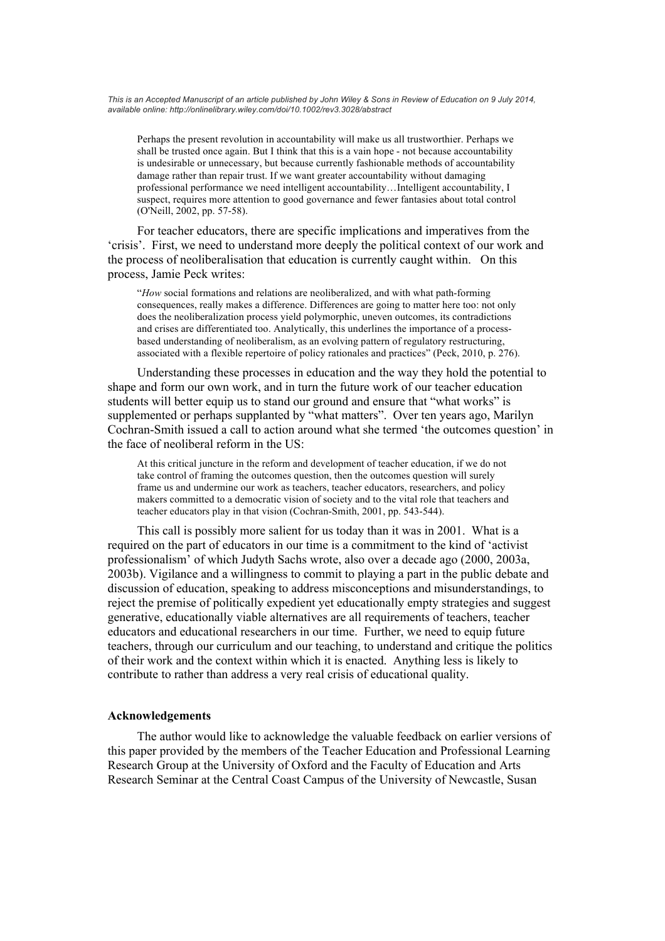Perhaps the present revolution in accountability will make us all trustworthier. Perhaps we shall be trusted once again. But I think that this is a vain hope - not because accountability is undesirable or unnecessary, but because currently fashionable methods of accountability damage rather than repair trust. If we want greater accountability without damaging professional performance we need intelligent accountability…Intelligent accountability, I suspect, requires more attention to good governance and fewer fantasies about total control (O'Neill, 2002, pp. 57-58).

For teacher educators, there are specific implications and imperatives from the 'crisis'. First, we need to understand more deeply the political context of our work and the process of neoliberalisation that education is currently caught within. On this process, Jamie Peck writes:

"*How* social formations and relations are neoliberalized, and with what path-forming consequences, really makes a difference. Differences are going to matter here too: not only does the neoliberalization process yield polymorphic, uneven outcomes, its contradictions and crises are differentiated too. Analytically, this underlines the importance of a processbased understanding of neoliberalism, as an evolving pattern of regulatory restructuring, associated with a flexible repertoire of policy rationales and practices" (Peck, 2010, p. 276).

Understanding these processes in education and the way they hold the potential to shape and form our own work, and in turn the future work of our teacher education students will better equip us to stand our ground and ensure that "what works" is supplemented or perhaps supplanted by "what matters". Over ten years ago, Marilyn Cochran-Smith issued a call to action around what she termed 'the outcomes question' in the face of neoliberal reform in the US:

At this critical juncture in the reform and development of teacher education, if we do not take control of framing the outcomes question, then the outcomes question will surely frame us and undermine our work as teachers, teacher educators, researchers, and policy makers committed to a democratic vision of society and to the vital role that teachers and teacher educators play in that vision (Cochran-Smith, 2001, pp. 543-544).

This call is possibly more salient for us today than it was in 2001. What is a required on the part of educators in our time is a commitment to the kind of 'activist professionalism' of which Judyth Sachs wrote, also over a decade ago (2000, 2003a, 2003b). Vigilance and a willingness to commit to playing a part in the public debate and discussion of education, speaking to address misconceptions and misunderstandings, to reject the premise of politically expedient yet educationally empty strategies and suggest generative, educationally viable alternatives are all requirements of teachers, teacher educators and educational researchers in our time. Further, we need to equip future teachers, through our curriculum and our teaching, to understand and critique the politics of their work and the context within which it is enacted. Anything less is likely to contribute to rather than address a very real crisis of educational quality.

# **Acknowledgements**

The author would like to acknowledge the valuable feedback on earlier versions of this paper provided by the members of the Teacher Education and Professional Learning Research Group at the University of Oxford and the Faculty of Education and Arts Research Seminar at the Central Coast Campus of the University of Newcastle, Susan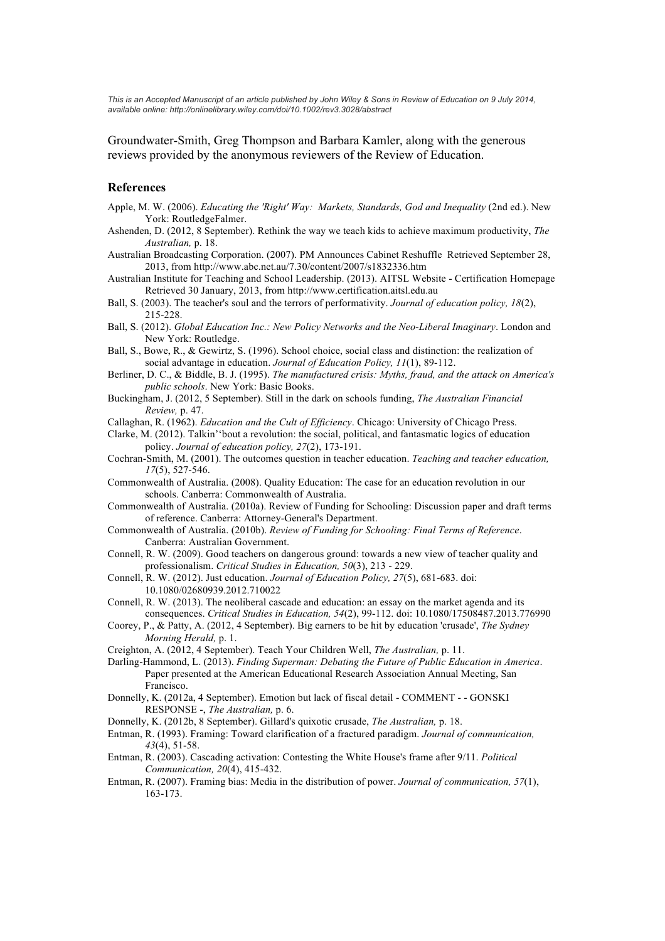Groundwater-Smith, Greg Thompson and Barbara Kamler, along with the generous reviews provided by the anonymous reviewers of the Review of Education.

### **References**

- Apple, M. W. (2006). *Educating the 'Right' Way: Markets, Standards, God and Inequality* (2nd ed.). New York: RoutledgeFalmer.
- Ashenden, D. (2012, 8 September). Rethink the way we teach kids to achieve maximum productivity, *The Australian,* p. 18.
- Australian Broadcasting Corporation. (2007). PM Announces Cabinet Reshuffle Retrieved September 28, 2013, from http://www.abc.net.au/7.30/content/2007/s1832336.htm
- Australian Institute for Teaching and School Leadership. (2013). AITSL Website Certification Homepage Retrieved 30 January, 2013, from http://www.certification.aitsl.edu.au
- Ball, S. (2003). The teacher's soul and the terrors of performativity. *Journal of education policy, 18*(2), 215-228.
- Ball, S. (2012). *Global Education Inc.: New Policy Networks and the Neo-Liberal Imaginary*. London and New York: Routledge.
- Ball, S., Bowe, R., & Gewirtz, S. (1996). School choice, social class and distinction: the realization of social advantage in education. *Journal of Education Policy, 11*(1), 89-112.
- Berliner, D. C., & Biddle, B. J. (1995). *The manufactured crisis: Myths, fraud, and the attack on America's public schools*. New York: Basic Books.
- Buckingham, J. (2012, 5 September). Still in the dark on schools funding, *The Australian Financial Review,* p. 47.
- Callaghan, R. (1962). *Education and the Cult of Efficiency*. Chicago: University of Chicago Press.
- Clarke, M. (2012). Talkin''bout a revolution: the social, political, and fantasmatic logics of education policy. *Journal of education policy, 27*(2), 173-191.
- Cochran-Smith, M. (2001). The outcomes question in teacher education. *Teaching and teacher education, 17*(5), 527-546.
- Commonwealth of Australia. (2008). Quality Education: The case for an education revolution in our schools. Canberra: Commonwealth of Australia.
- Commonwealth of Australia. (2010a). Review of Funding for Schooling: Discussion paper and draft terms of reference. Canberra: Attorney-General's Department.
- Commonwealth of Australia. (2010b). *Review of Funding for Schooling: Final Terms of Reference*. Canberra: Australian Government.
- Connell, R. W. (2009). Good teachers on dangerous ground: towards a new view of teacher quality and professionalism. *Critical Studies in Education, 50*(3), 213 - 229.
- Connell, R. W. (2012). Just education. *Journal of Education Policy, 27*(5), 681-683. doi: 10.1080/02680939.2012.710022
- Connell, R. W. (2013). The neoliberal cascade and education: an essay on the market agenda and its consequences. *Critical Studies in Education, 54*(2), 99-112. doi: 10.1080/17508487.2013.776990
- Coorey, P., & Patty, A. (2012, 4 September). Big earners to be hit by education 'crusade', *The Sydney Morning Herald,* p. 1.
- Creighton, A. (2012, 4 September). Teach Your Children Well, *The Australian,* p. 11.
- Darling-Hammond, L. (2013). *Finding Superman: Debating the Future of Public Education in America*. Paper presented at the American Educational Research Association Annual Meeting, San Francisco.
- Donnelly, K. (2012a, 4 September). Emotion but lack of fiscal detail COMMENT - GONSKI RESPONSE -, *The Australian,* p. 6.
- Donnelly, K. (2012b, 8 September). Gillard's quixotic crusade, *The Australian,* p. 18.
- Entman, R. (1993). Framing: Toward clarification of a fractured paradigm. *Journal of communication, 43*(4), 51-58.
- Entman, R. (2003). Cascading activation: Contesting the White House's frame after 9/11. *Political Communication, 20*(4), 415-432.
- Entman, R. (2007). Framing bias: Media in the distribution of power. *Journal of communication, 57*(1), 163-173.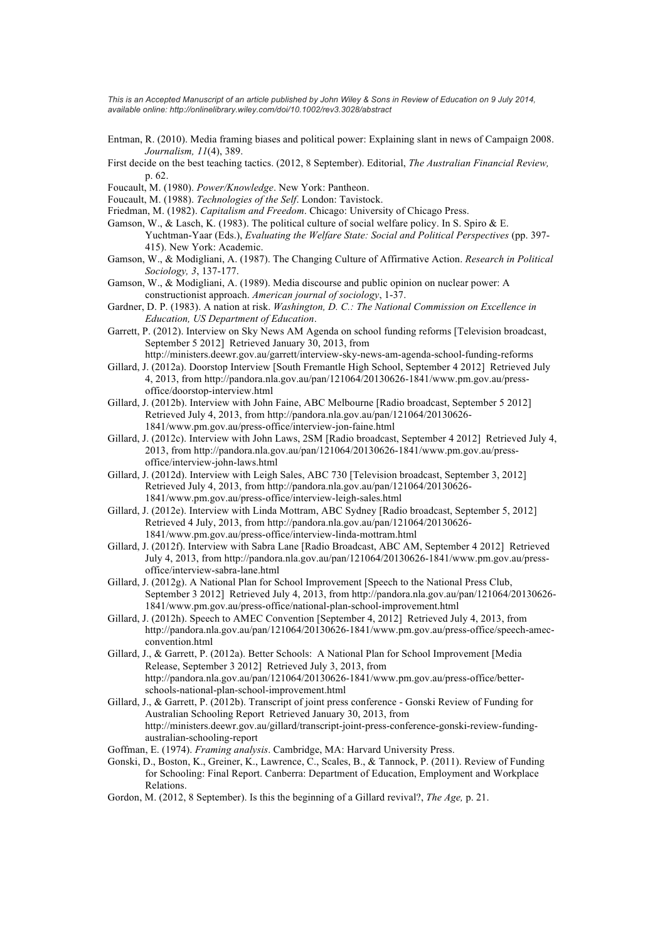- Entman, R. (2010). Media framing biases and political power: Explaining slant in news of Campaign 2008. *Journalism, 11*(4), 389.
- First decide on the best teaching tactics. (2012, 8 September). Editorial, *The Australian Financial Review,* p. 62.
- Foucault, M. (1980). *Power/Knowledge*. New York: Pantheon.
- Foucault, M. (1988). *Technologies of the Self*. London: Tavistock.
- Friedman, M. (1982). *Capitalism and Freedom*. Chicago: University of Chicago Press.
- Gamson, W., & Lasch, K. (1983). The political culture of social welfare policy. In S. Spiro & E. Yuchtman-Yaar (Eds.), *Evaluating the Welfare State: Social and Political Perspectives* (pp. 397- 415). New York: Academic.
- Gamson, W., & Modigliani, A. (1987). The Changing Culture of Affirmative Action. *Research in Political Sociology, 3*, 137-177.
- Gamson, W., & Modigliani, A. (1989). Media discourse and public opinion on nuclear power: A constructionist approach. *American journal of sociology*, 1-37.
- Gardner, D. P. (1983). A nation at risk. *Washington, D. C.: The National Commission on Excellence in Education, US Department of Education*.
- Garrett, P. (2012). Interview on Sky News AM Agenda on school funding reforms [Television broadcast, September 5 2012] Retrieved January 30, 2013, from
- http://ministers.deewr.gov.au/garrett/interview-sky-news-am-agenda-school-funding-reforms
- Gillard, J. (2012a). Doorstop Interview [South Fremantle High School, September 4 2012] Retrieved July 4, 2013, from http://pandora.nla.gov.au/pan/121064/20130626-1841/www.pm.gov.au/pressoffice/doorstop-interview.html
- Gillard, J. (2012b). Interview with John Faine, ABC Melbourne [Radio broadcast, September 5 2012] Retrieved July 4, 2013, from http://pandora.nla.gov.au/pan/121064/20130626- 1841/www.pm.gov.au/press-office/interview-jon-faine.html
- Gillard, J. (2012c). Interview with John Laws, 2SM [Radio broadcast, September 4 2012] Retrieved July 4, 2013, from http://pandora.nla.gov.au/pan/121064/20130626-1841/www.pm.gov.au/pressoffice/interview-john-laws.html
- Gillard, J. (2012d). Interview with Leigh Sales, ABC 730 [Television broadcast, September 3, 2012] Retrieved July 4, 2013, from http://pandora.nla.gov.au/pan/121064/20130626- 1841/www.pm.gov.au/press-office/interview-leigh-sales.html
- Gillard, J. (2012e). Interview with Linda Mottram, ABC Sydney [Radio broadcast, September 5, 2012] Retrieved 4 July, 2013, from http://pandora.nla.gov.au/pan/121064/20130626- 1841/www.pm.gov.au/press-office/interview-linda-mottram.html
- Gillard, J. (2012f). Interview with Sabra Lane [Radio Broadcast, ABC AM, September 4 2012] Retrieved July 4, 2013, from http://pandora.nla.gov.au/pan/121064/20130626-1841/www.pm.gov.au/pressoffice/interview-sabra-lane.html
- Gillard, J. (2012g). A National Plan for School Improvement [Speech to the National Press Club, September 3 2012] Retrieved July 4, 2013, from http://pandora.nla.gov.au/pan/121064/20130626- 1841/www.pm.gov.au/press-office/national-plan-school-improvement.html
- Gillard, J. (2012h). Speech to AMEC Convention [September 4, 2012] Retrieved July 4, 2013, from http://pandora.nla.gov.au/pan/121064/20130626-1841/www.pm.gov.au/press-office/speech-amecconvention.html
- Gillard, J., & Garrett, P. (2012a). Better Schools: A National Plan for School Improvement [Media Release, September 3 2012] Retrieved July 3, 2013, from http://pandora.nla.gov.au/pan/121064/20130626-1841/www.pm.gov.au/press-office/betterschools-national-plan-school-improvement.html
- Gillard, J., & Garrett, P. (2012b). Transcript of joint press conference Gonski Review of Funding for Australian Schooling Report Retrieved January 30, 2013, from http://ministers.deewr.gov.au/gillard/transcript-joint-press-conference-gonski-review-fundingaustralian-schooling-report
- Goffman, E. (1974). *Framing analysis*. Cambridge, MA: Harvard University Press.
- Gonski, D., Boston, K., Greiner, K., Lawrence, C., Scales, B., & Tannock, P. (2011). Review of Funding for Schooling: Final Report. Canberra: Department of Education, Employment and Workplace Relations.
- Gordon, M. (2012, 8 September). Is this the beginning of a Gillard revival?, *The Age,* p. 21.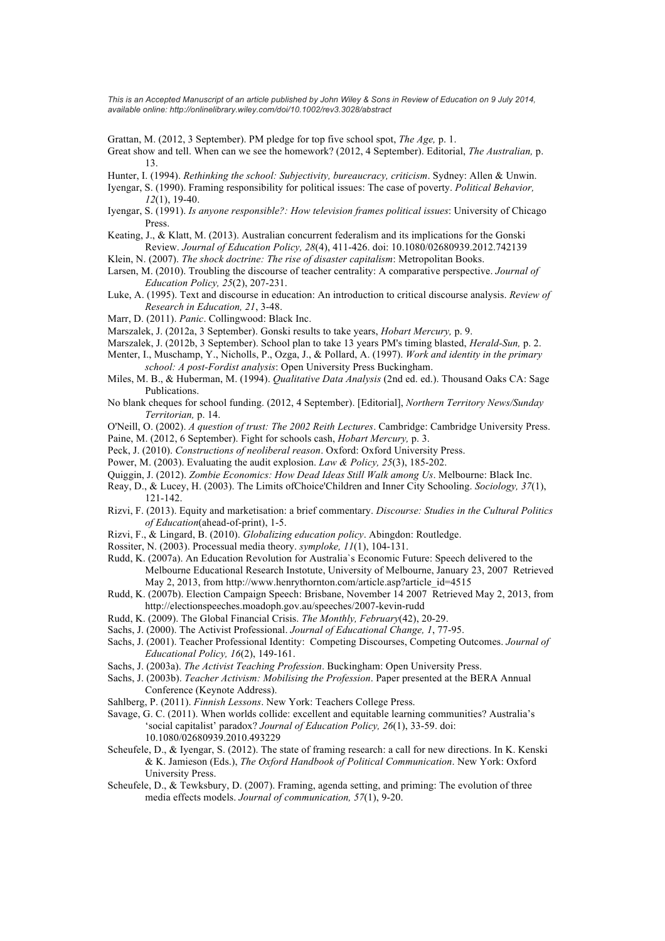Grattan, M. (2012, 3 September). PM pledge for top five school spot, *The Age,* p. 1.

- Great show and tell. When can we see the homework? (2012, 4 September). Editorial, *The Australian,* p. 13.
- Hunter, I. (1994). *Rethinking the school: Subjectivity, bureaucracy, criticism*. Sydney: Allen & Unwin.
- Iyengar, S. (1990). Framing responsibility for political issues: The case of poverty. *Political Behavior, 12*(1), 19-40.
- Iyengar, S. (1991). *Is anyone responsible?: How television frames political issues*: University of Chicago Press.
- Keating, J., & Klatt, M. (2013). Australian concurrent federalism and its implications for the Gonski Review. *Journal of Education Policy, 28*(4), 411-426. doi: 10.1080/02680939.2012.742139
- Klein, N. (2007). *The shock doctrine: The rise of disaster capitalism*: Metropolitan Books.
- Larsen, M. (2010). Troubling the discourse of teacher centrality: A comparative perspective. *Journal of Education Policy, 25*(2), 207-231.
- Luke, A. (1995). Text and discourse in education: An introduction to critical discourse analysis. *Review of Research in Education, 21*, 3-48.
- Marr, D. (2011). *Panic*. Collingwood: Black Inc.
- Marszalek, J. (2012a, 3 September). Gonski results to take years, *Hobart Mercury,* p. 9.
- Marszalek, J. (2012b, 3 September). School plan to take 13 years PM's timing blasted, *Herald-Sun,* p. 2.
- Menter, I., Muschamp, Y., Nicholls, P., Ozga, J., & Pollard, A. (1997). *Work and identity in the primary school: A post-Fordist analysis*: Open University Press Buckingham.
- Miles, M. B., & Huberman, M. (1994). *Qualitative Data Analysis* (2nd ed. ed.). Thousand Oaks CA: Sage Publications.
- No blank cheques for school funding. (2012, 4 September). [Editorial], *Northern Territory News/Sunday Territorian,* p. 14.
- O'Neill, O. (2002). *A question of trust: The 2002 Reith Lectures*. Cambridge: Cambridge University Press.
- Paine, M. (2012, 6 September). Fight for schools cash, *Hobart Mercury,* p. 3.
- Peck, J. (2010). *Constructions of neoliberal reason*. Oxford: Oxford University Press.
- Power, M. (2003). Evaluating the audit explosion. *Law & Policy, 25*(3), 185-202.
- Quiggin, J. (2012). *Zombie Economics: How Dead Ideas Still Walk among Us*. Melbourne: Black Inc.
- Reay, D., & Lucey, H. (2003). The Limits ofChoice'Children and Inner City Schooling. *Sociology, 37*(1), 121-142.
- Rizvi, F. (2013). Equity and marketisation: a brief commentary. *Discourse: Studies in the Cultural Politics of Education*(ahead-of-print), 1-5.
- Rizvi, F., & Lingard, B. (2010). *Globalizing education policy*. Abingdon: Routledge.
- Rossiter, N. (2003). Processual media theory. *symploke, 11*(1), 104-131.
- Rudd, K. (2007a). An Education Revolution for Australia`s Economic Future: Speech delivered to the Melbourne Educational Research Instotute, University of Melbourne, January 23, 2007 Retrieved May 2, 2013, from http://www.henrythornton.com/article.asp?article\_id=4515
- Rudd, K. (2007b). Election Campaign Speech: Brisbane, November 14 2007 Retrieved May 2, 2013, from http://electionspeeches.moadoph.gov.au/speeches/2007-kevin-rudd
- Rudd, K. (2009). The Global Financial Crisis. *The Monthly, February*(42), 20-29.
- Sachs, J. (2000). The Activist Professional. *Journal of Educational Change, 1*, 77-95.
- Sachs, J. (2001). Teacher Professional Identity: Competing Discourses, Competing Outcomes. *Journal of Educational Policy, 16*(2), 149-161.
- Sachs, J. (2003a). *The Activist Teaching Profession*. Buckingham: Open University Press.
- Sachs, J. (2003b). *Teacher Activism: Mobilising the Profession*. Paper presented at the BERA Annual Conference (Keynote Address).
- Sahlberg, P. (2011). *Finnish Lessons*. New York: Teachers College Press.
- Savage, G. C. (2011). When worlds collide: excellent and equitable learning communities? Australia's 'social capitalist' paradox? *Journal of Education Policy, 26*(1), 33-59. doi: 10.1080/02680939.2010.493229
- Scheufele, D., & Iyengar, S. (2012). The state of framing research: a call for new directions. In K. Kenski & K. Jamieson (Eds.), *The Oxford Handbook of Political Communication*. New York: Oxford University Press.
- Scheufele, D., & Tewksbury, D. (2007). Framing, agenda setting, and priming: The evolution of three media effects models. *Journal of communication, 57*(1), 9-20.